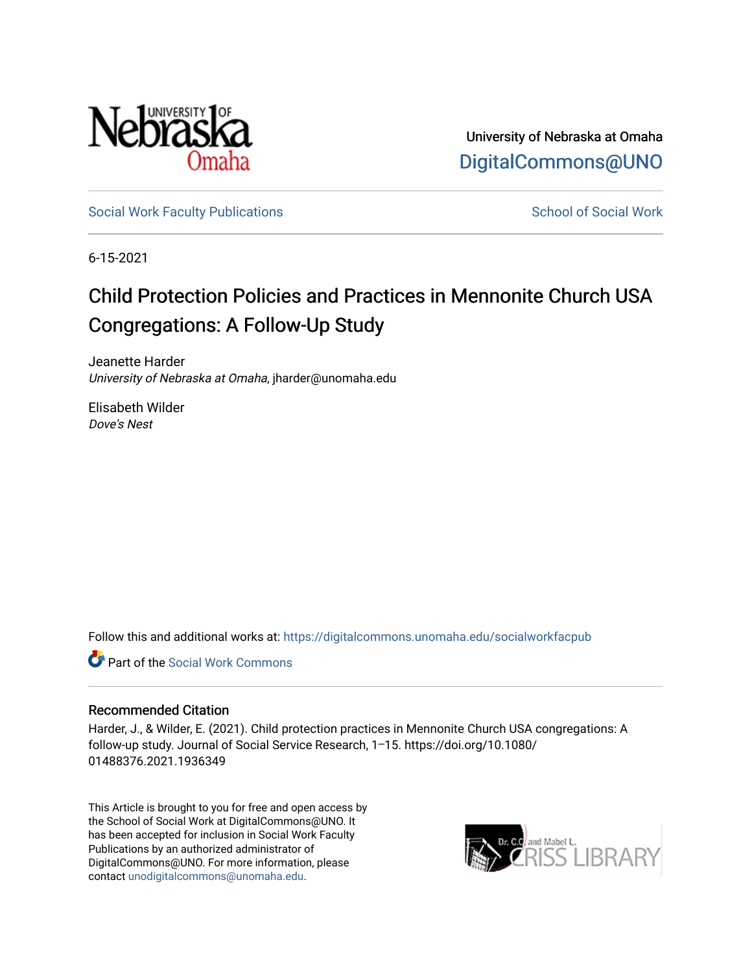

University of Nebraska at Omaha [DigitalCommons@UNO](https://digitalcommons.unomaha.edu/) 

[Social Work Faculty Publications](https://digitalcommons.unomaha.edu/socialworkfacpub) Social Work School of Social Work

6-15-2021

## Child Protection Policies and Practices in Mennonite Church USA Congregations: A Follow-Up Study

Jeanette Harder University of Nebraska at Omaha, jharder@unomaha.edu

Elisabeth Wilder Dove's Nest

Follow this and additional works at: [https://digitalcommons.unomaha.edu/socialworkfacpub](https://digitalcommons.unomaha.edu/socialworkfacpub?utm_source=digitalcommons.unomaha.edu%2Fsocialworkfacpub%2F13&utm_medium=PDF&utm_campaign=PDFCoverPages) 

Part of the [Social Work Commons](http://network.bepress.com/hgg/discipline/713?utm_source=digitalcommons.unomaha.edu%2Fsocialworkfacpub%2F13&utm_medium=PDF&utm_campaign=PDFCoverPages)

#### Recommended Citation

Harder, J., & Wilder, E. (2021). Child protection practices in Mennonite Church USA congregations: A follow-up study. Journal of Social Service Research, 1⎼15. https://doi.org/10.1080/ 01488376.2021.1936349

This Article is brought to you for free and open access by the School of Social Work at DigitalCommons@UNO. It has been accepted for inclusion in Social Work Faculty Publications by an authorized administrator of DigitalCommons@UNO. For more information, please contact [unodigitalcommons@unomaha.edu](mailto:unodigitalcommons@unomaha.edu).

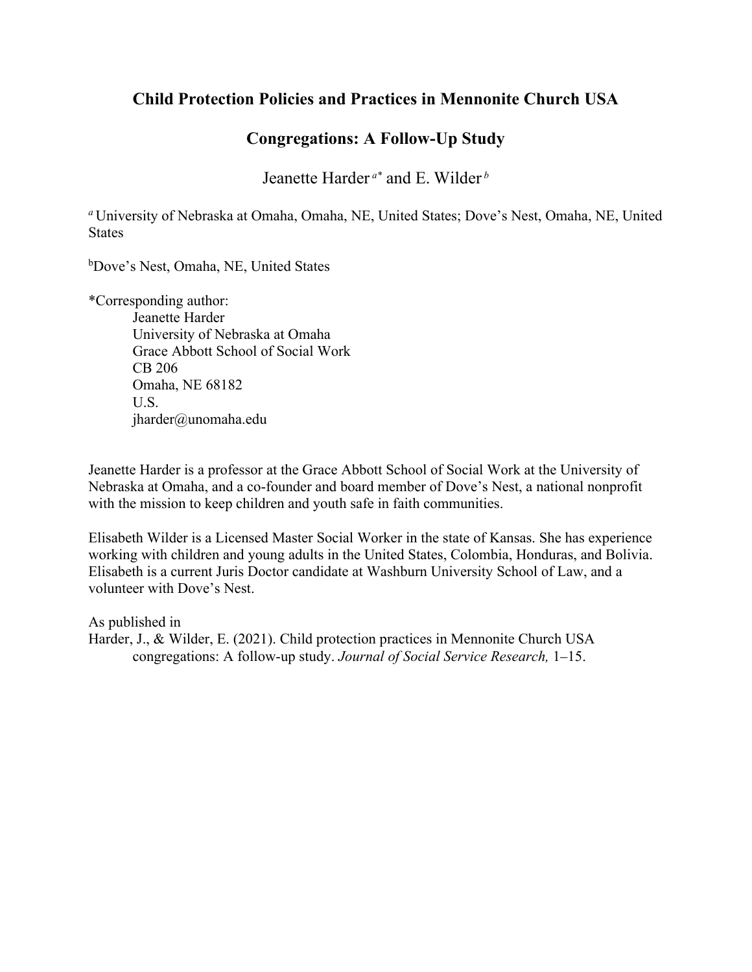### **Child Protection Policies and Practices in Mennonite Church USA**

### **Congregations: A Follow-Up Study**

Jeanette Harder *a\** and E. Wilder *<sup>b</sup>*

*<sup>a</sup>*University of Nebraska at Omaha, Omaha, NE, United States; Dove's Nest, Omaha, NE, United **States** 

b Dove's Nest, Omaha, NE, United States

\*Corresponding author: Jeanette Harder University of Nebraska at Omaha Grace Abbott School of Social Work CB 206 Omaha, NE 68182 U.S. jharder@unomaha.edu

Jeanette Harder is a professor at the Grace Abbott School of Social Work at the University of Nebraska at Omaha, and a co-founder and board member of Dove's Nest, a national nonprofit with the mission to keep children and youth safe in faith communities.

Elisabeth Wilder is a Licensed Master Social Worker in the state of Kansas. She has experience working with children and young adults in the United States, Colombia, Honduras, and Bolivia. Elisabeth is a current Juris Doctor candidate at Washburn University School of Law, and a volunteer with Dove's Nest.

As published in Harder, J., & Wilder, E. (2021). Child protection practices in Mennonite Church USA congregations: A follow-up study. *Journal of Social Service Research,* 1⎼15.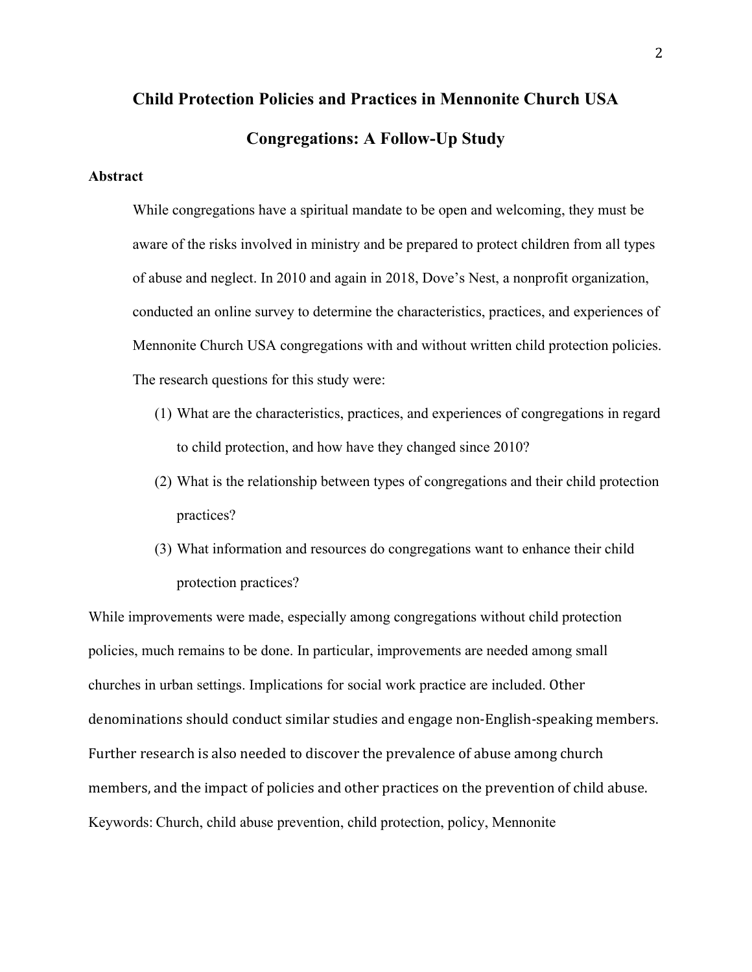# **Child Protection Policies and Practices in Mennonite Church USA Congregations: A Follow-Up Study**

#### **Abstract**

While congregations have a spiritual mandate to be open and welcoming, they must be aware of the risks involved in ministry and be prepared to protect children from all types of abuse and neglect. In 2010 and again in 2018, Dove's Nest, a nonprofit organization, conducted an online survey to determine the characteristics, practices, and experiences of Mennonite Church USA congregations with and without written child protection policies. The research questions for this study were:

- (1) What are the characteristics, practices, and experiences of congregations in regard to child protection, and how have they changed since 2010?
- (2) What is the relationship between types of congregations and their child protection practices?
- (3) What information and resources do congregations want to enhance their child protection practices?

While improvements were made, especially among congregations without child protection policies, much remains to be done. In particular, improvements are needed among small churches in urban settings. Implications for social work practice are included. Other denominations should conduct similar studies and engage non-English-speaking members. Further research is also needed to discover the prevalence of abuse among church members, and the impact of policies and other practices on the prevention of child abuse. Keywords: Church, child abuse prevention, child protection, policy, Mennonite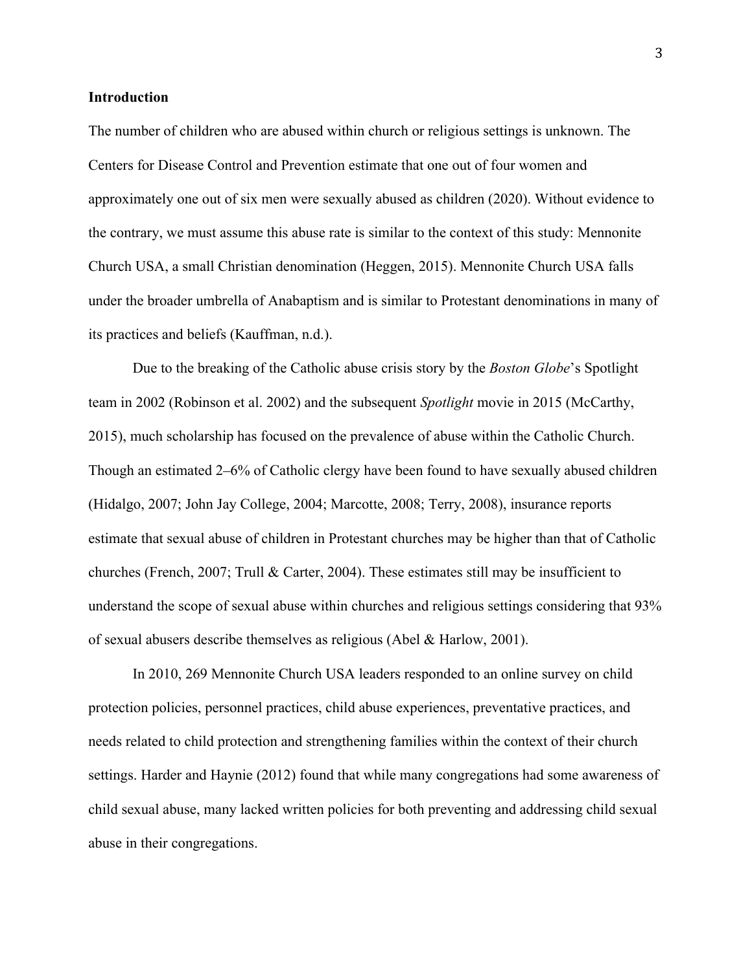#### **Introduction**

The number of children who are abused within church or religious settings is unknown. The Centers for Disease Control and Prevention estimate that one out of four women and approximately one out of six men were sexually abused as children (2020). Without evidence to the contrary, we must assume this abuse rate is similar to the context of this study: Mennonite Church USA, a small Christian denomination (Heggen, 2015). Mennonite Church USA falls under the broader umbrella of Anabaptism and is similar to Protestant denominations in many of its practices and beliefs (Kauffman, n.d.).

Due to the breaking of the Catholic abuse crisis story by the *Boston Globe*'s Spotlight team in 2002 (Robinson et al. 2002) and the subsequent *Spotlight* movie in 2015 (McCarthy, 2015), much scholarship has focused on the prevalence of abuse within the Catholic Church. Though an estimated 2⎼6% of Catholic clergy have been found to have sexually abused children (Hidalgo, 2007; John Jay College, 2004; Marcotte, 2008; Terry, 2008), insurance reports estimate that sexual abuse of children in Protestant churches may be higher than that of Catholic churches (French, 2007; Trull & Carter, 2004). These estimates still may be insufficient to understand the scope of sexual abuse within churches and religious settings considering that 93% of sexual abusers describe themselves as religious (Abel & Harlow, 2001).

In 2010, 269 Mennonite Church USA leaders responded to an online survey on child protection policies, personnel practices, child abuse experiences, preventative practices, and needs related to child protection and strengthening families within the context of their church settings. Harder and Haynie (2012) found that while many congregations had some awareness of child sexual abuse, many lacked written policies for both preventing and addressing child sexual abuse in their congregations.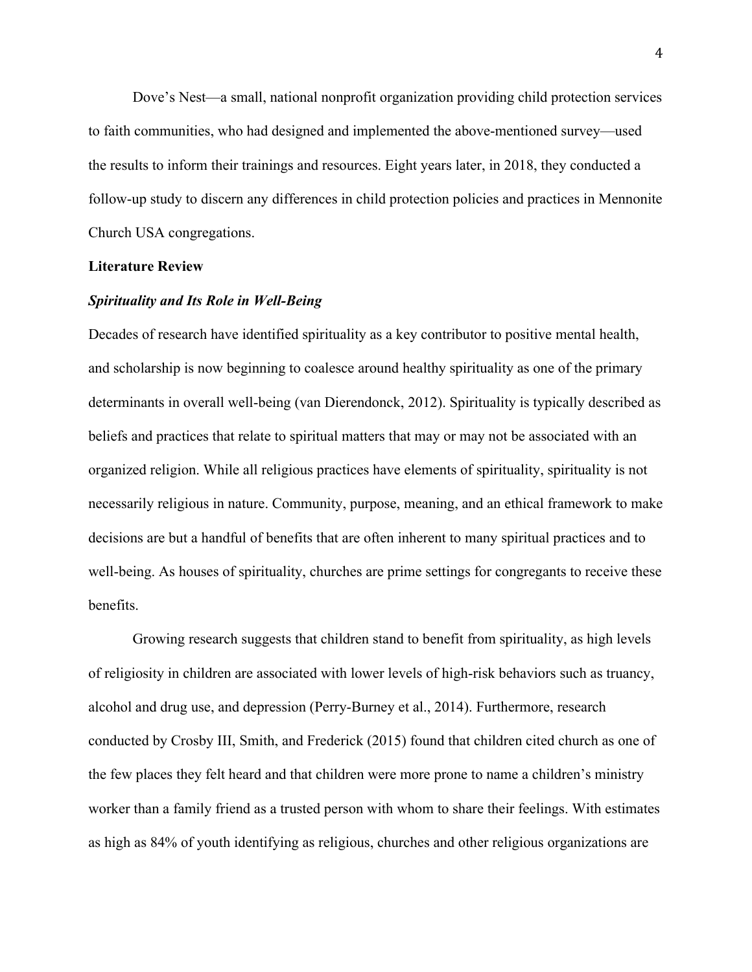Dove's Nest—a small, national nonprofit organization providing child protection services to faith communities, who had designed and implemented the above-mentioned survey—used the results to inform their trainings and resources. Eight years later, in 2018, they conducted a follow-up study to discern any differences in child protection policies and practices in Mennonite Church USA congregations.

#### **Literature Review**

#### *Spirituality and Its Role in Well-Being*

Decades of research have identified spirituality as a key contributor to positive mental health, and scholarship is now beginning to coalesce around healthy spirituality as one of the primary determinants in overall well-being (van Dierendonck, 2012). Spirituality is typically described as beliefs and practices that relate to spiritual matters that may or may not be associated with an organized religion. While all religious practices have elements of spirituality, spirituality is not necessarily religious in nature. Community, purpose, meaning, and an ethical framework to make decisions are but a handful of benefits that are often inherent to many spiritual practices and to well-being. As houses of spirituality, churches are prime settings for congregants to receive these benefits.

Growing research suggests that children stand to benefit from spirituality, as high levels of religiosity in children are associated with lower levels of high-risk behaviors such as truancy, alcohol and drug use, and depression (Perry-Burney et al., 2014). Furthermore, research conducted by Crosby III, Smith, and Frederick (2015) found that children cited church as one of the few places they felt heard and that children were more prone to name a children's ministry worker than a family friend as a trusted person with whom to share their feelings. With estimates as high as 84% of youth identifying as religious, churches and other religious organizations are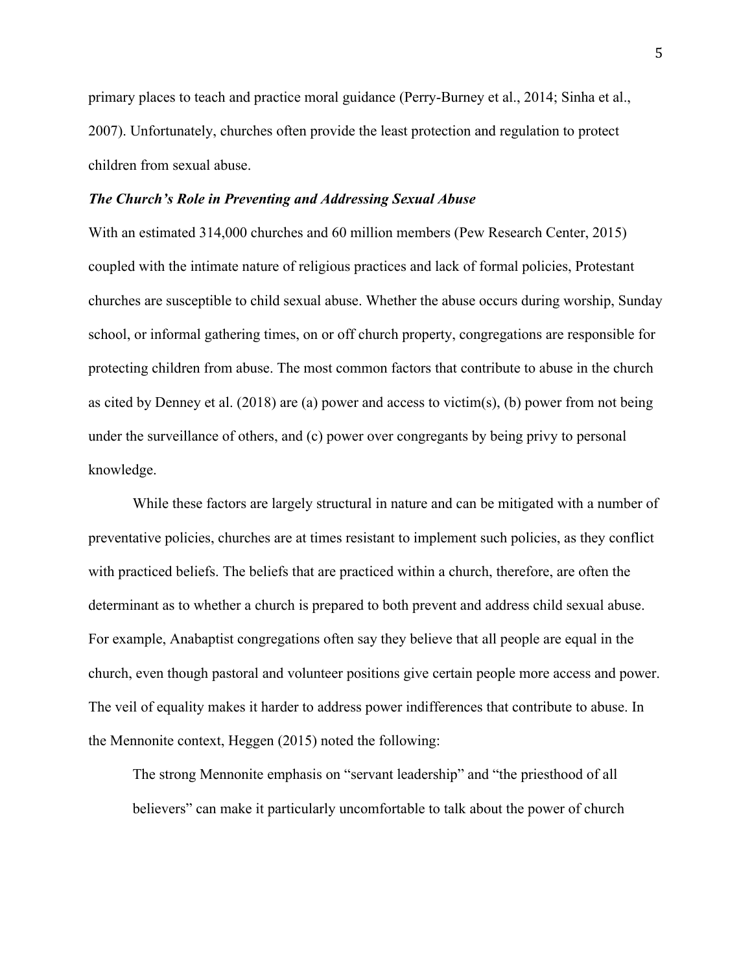primary places to teach and practice moral guidance (Perry-Burney et al., 2014; Sinha et al., 2007). Unfortunately, churches often provide the least protection and regulation to protect children from sexual abuse.

#### *The Church's Role in Preventing and Addressing Sexual Abuse*

With an estimated 314,000 churches and 60 million members (Pew Research Center, 2015) coupled with the intimate nature of religious practices and lack of formal policies, Protestant churches are susceptible to child sexual abuse. Whether the abuse occurs during worship, Sunday school, or informal gathering times, on or off church property, congregations are responsible for protecting children from abuse. The most common factors that contribute to abuse in the church as cited by Denney et al.  $(2018)$  are (a) power and access to victim(s), (b) power from not being under the surveillance of others, and (c) power over congregants by being privy to personal knowledge.

While these factors are largely structural in nature and can be mitigated with a number of preventative policies, churches are at times resistant to implement such policies, as they conflict with practiced beliefs. The beliefs that are practiced within a church, therefore, are often the determinant as to whether a church is prepared to both prevent and address child sexual abuse. For example, Anabaptist congregations often say they believe that all people are equal in the church, even though pastoral and volunteer positions give certain people more access and power. The veil of equality makes it harder to address power indifferences that contribute to abuse. In the Mennonite context, Heggen (2015) noted the following:

The strong Mennonite emphasis on "servant leadership" and "the priesthood of all believers" can make it particularly uncomfortable to talk about the power of church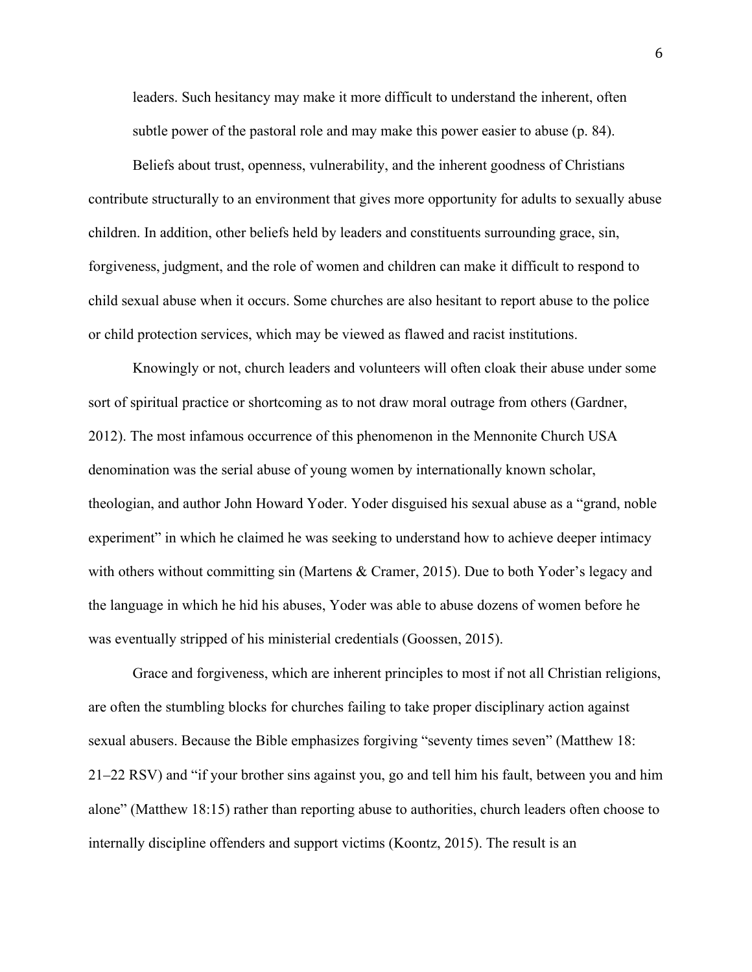leaders. Such hesitancy may make it more difficult to understand the inherent, often subtle power of the pastoral role and may make this power easier to abuse (p. 84).

Beliefs about trust, openness, vulnerability, and the inherent goodness of Christians contribute structurally to an environment that gives more opportunity for adults to sexually abuse children. In addition, other beliefs held by leaders and constituents surrounding grace, sin, forgiveness, judgment, and the role of women and children can make it difficult to respond to child sexual abuse when it occurs. Some churches are also hesitant to report abuse to the police or child protection services, which may be viewed as flawed and racist institutions.

Knowingly or not, church leaders and volunteers will often cloak their abuse under some sort of spiritual practice or shortcoming as to not draw moral outrage from others (Gardner, 2012). The most infamous occurrence of this phenomenon in the Mennonite Church USA denomination was the serial abuse of young women by internationally known scholar, theologian, and author John Howard Yoder. Yoder disguised his sexual abuse as a "grand, noble experiment" in which he claimed he was seeking to understand how to achieve deeper intimacy with others without committing sin (Martens & Cramer, 2015). Due to both Yoder's legacy and the language in which he hid his abuses, Yoder was able to abuse dozens of women before he was eventually stripped of his ministerial credentials (Goossen, 2015).

Grace and forgiveness, which are inherent principles to most if not all Christian religions, are often the stumbling blocks for churches failing to take proper disciplinary action against sexual abusers. Because the Bible emphasizes forgiving "seventy times seven" (Matthew 18: 21⎼22 RSV) and "if your brother sins against you, go and tell him his fault, between you and him alone" (Matthew 18:15) rather than reporting abuse to authorities, church leaders often choose to internally discipline offenders and support victims (Koontz, 2015). The result is an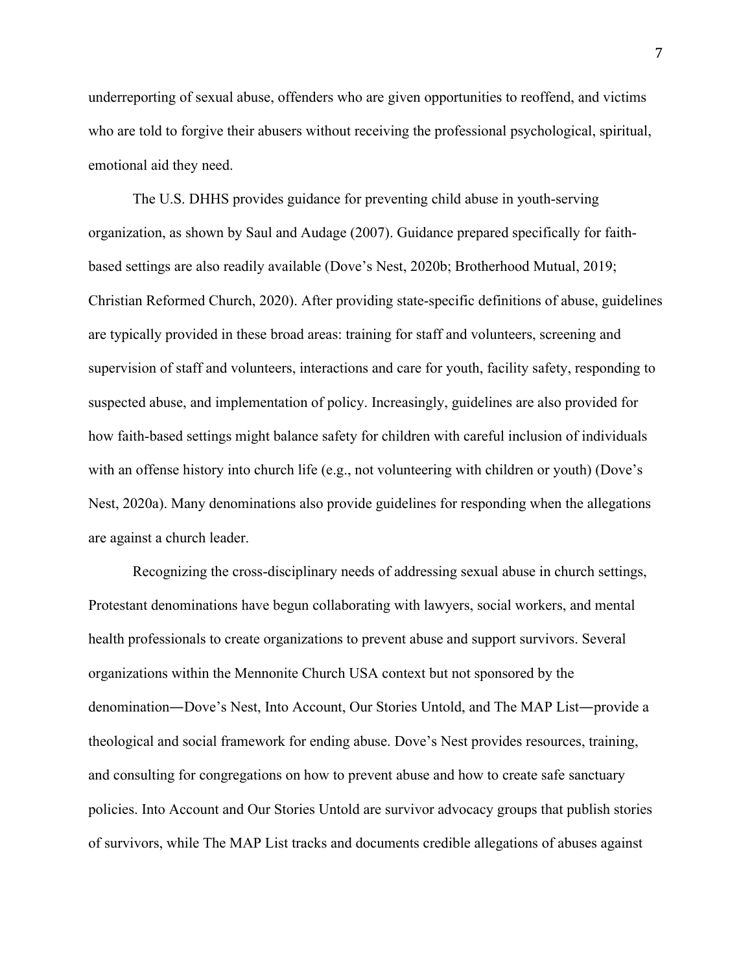underreporting of sexual abuse, offenders who are given opportunities to reoffend, and victims who are told to forgive their abusers without receiving the professional psychological, spiritual, emotional aid they need.

The U.S. DHHS provides guidance for preventing child abuse in youth-serving organization, as shown by Saul and Audage (2007). Guidance prepared specifically for faithbased settings are also readily available (Dove's Nest, 2020b; Brotherhood Mutual, 2019; Christian Reformed Church, 2020). After providing state-specific definitions of abuse, guidelines are typically provided in these broad areas: training for staff and volunteers, screening and supervision of staff and volunteers, interactions and care for youth, facility safety, responding to suspected abuse, and implementation of policy. Increasingly, guidelines are also provided for how faith-based settings might balance safety for children with careful inclusion of individuals with an offense history into church life (e.g., not volunteering with children or youth) (Dove's Nest, 2020a). Many denominations also provide guidelines for responding when the allegations are against a church leader.

Recognizing the cross-disciplinary needs of addressing sexual abuse in church settings, Protestant denominations have begun collaborating with lawyers, social workers, and mental health professionals to create organizations to prevent abuse and support survivors. Several organizations within the Mennonite Church USA context but not sponsored by the denomination—Dove's Nest, Into Account, Our Stories Untold, and The MAP List—provide a theological and social framework for ending abuse. Dove's Nest provides resources, training, and consulting for congregations on how to prevent abuse and how to create safe sanctuary policies. Into Account and Our Stories Untold are survivor advocacy groups that publish stories of survivors, while The MAP List tracks and documents credible allegations of abuses against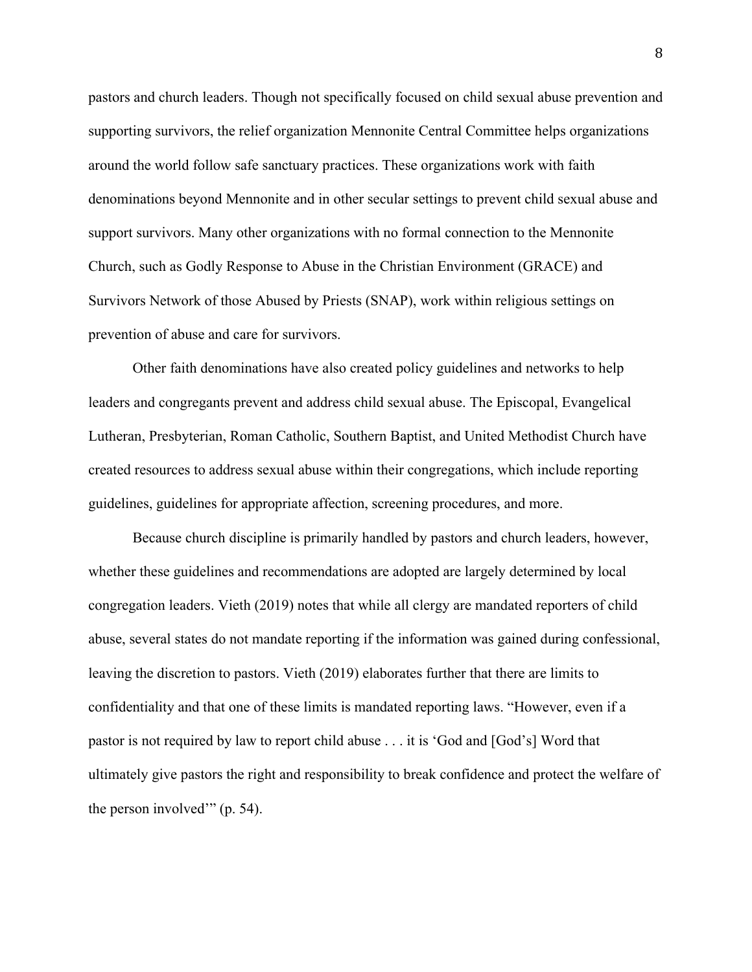pastors and church leaders. Though not specifically focused on child sexual abuse prevention and supporting survivors, the relief organization Mennonite Central Committee helps organizations around the world follow safe sanctuary practices. These organizations work with faith denominations beyond Mennonite and in other secular settings to prevent child sexual abuse and support survivors. Many other organizations with no formal connection to the Mennonite Church, such as Godly Response to Abuse in the Christian Environment (GRACE) and Survivors Network of those Abused by Priests (SNAP), work within religious settings on prevention of abuse and care for survivors.

Other faith denominations have also created policy guidelines and networks to help leaders and congregants prevent and address child sexual abuse. The Episcopal, Evangelical Lutheran, Presbyterian, Roman Catholic, Southern Baptist, and United Methodist Church have created resources to address sexual abuse within their congregations, which include reporting guidelines, guidelines for appropriate affection, screening procedures, and more.

Because church discipline is primarily handled by pastors and church leaders, however, whether these guidelines and recommendations are adopted are largely determined by local congregation leaders. Vieth (2019) notes that while all clergy are mandated reporters of child abuse, several states do not mandate reporting if the information was gained during confessional, leaving the discretion to pastors. Vieth (2019) elaborates further that there are limits to confidentiality and that one of these limits is mandated reporting laws. "However, even if a pastor is not required by law to report child abuse . . . it is 'God and [God's] Word that ultimately give pastors the right and responsibility to break confidence and protect the welfare of the person involved'" (p. 54).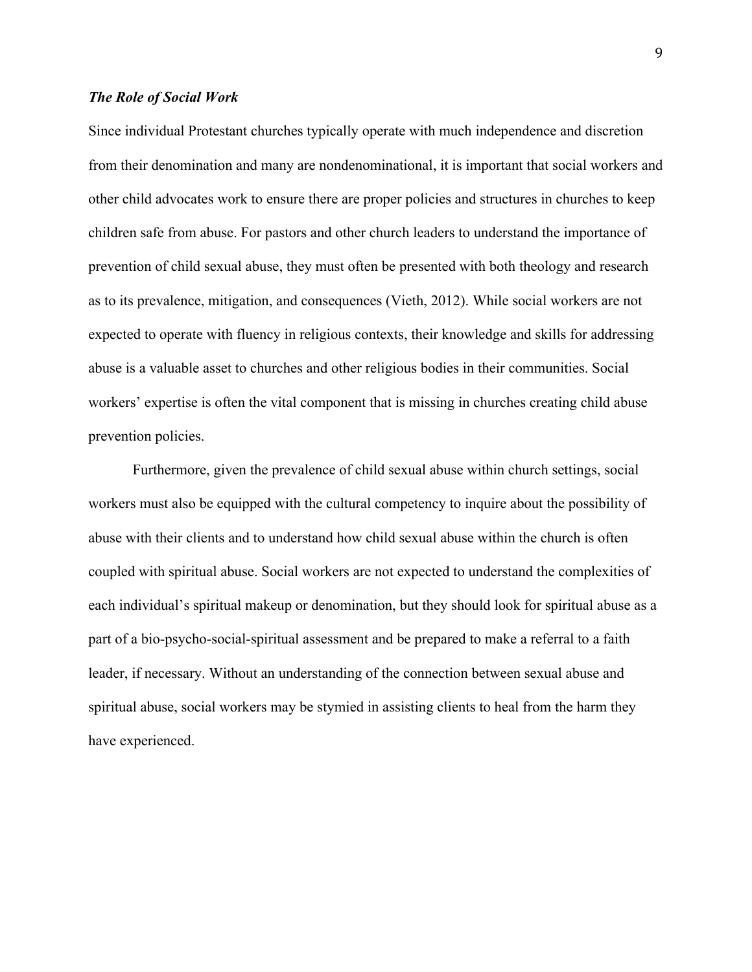#### *The Role of Social Work*

Since individual Protestant churches typically operate with much independence and discretion from their denomination and many are nondenominational, it is important that social workers and other child advocates work to ensure there are proper policies and structures in churches to keep children safe from abuse. For pastors and other church leaders to understand the importance of prevention of child sexual abuse, they must often be presented with both theology and research as to its prevalence, mitigation, and consequences (Vieth, 2012). While social workers are not expected to operate with fluency in religious contexts, their knowledge and skills for addressing abuse is a valuable asset to churches and other religious bodies in their communities. Social workers' expertise is often the vital component that is missing in churches creating child abuse prevention policies.

Furthermore, given the prevalence of child sexual abuse within church settings, social workers must also be equipped with the cultural competency to inquire about the possibility of abuse with their clients and to understand how child sexual abuse within the church is often coupled with spiritual abuse. Social workers are not expected to understand the complexities of each individual's spiritual makeup or denomination, but they should look for spiritual abuse as a part of a bio-psycho-social-spiritual assessment and be prepared to make a referral to a faith leader, if necessary. Without an understanding of the connection between sexual abuse and spiritual abuse, social workers may be stymied in assisting clients to heal from the harm they have experienced.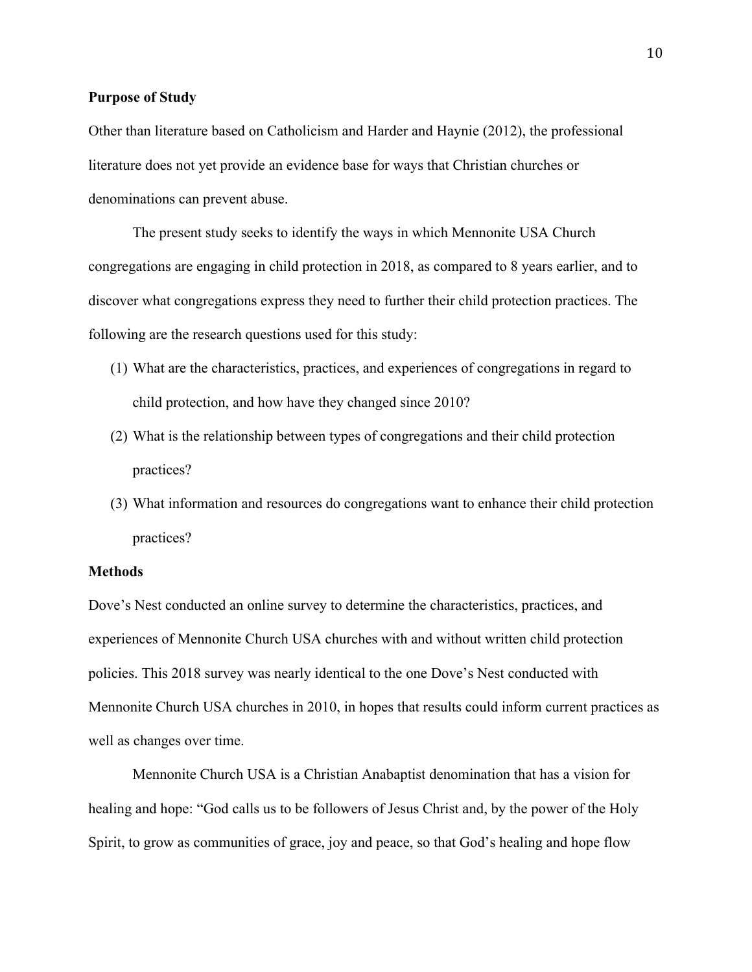#### **Purpose of Study**

Other than literature based on Catholicism and Harder and Haynie (2012), the professional literature does not yet provide an evidence base for ways that Christian churches or denominations can prevent abuse.

The present study seeks to identify the ways in which Mennonite USA Church congregations are engaging in child protection in 2018, as compared to 8 years earlier, and to discover what congregations express they need to further their child protection practices. The following are the research questions used for this study:

- (1) What are the characteristics, practices, and experiences of congregations in regard to child protection, and how have they changed since 2010?
- (2) What is the relationship between types of congregations and their child protection practices?
- (3) What information and resources do congregations want to enhance their child protection practices?

#### **Methods**

Dove's Nest conducted an online survey to determine the characteristics, practices, and experiences of Mennonite Church USA churches with and without written child protection policies. This 2018 survey was nearly identical to the one Dove's Nest conducted with Mennonite Church USA churches in 2010, in hopes that results could inform current practices as well as changes over time.

Mennonite Church USA is a Christian Anabaptist denomination that has a vision for healing and hope: "God calls us to be followers of Jesus Christ and, by the power of the Holy Spirit, to grow as communities of grace, joy and peace, so that God's healing and hope flow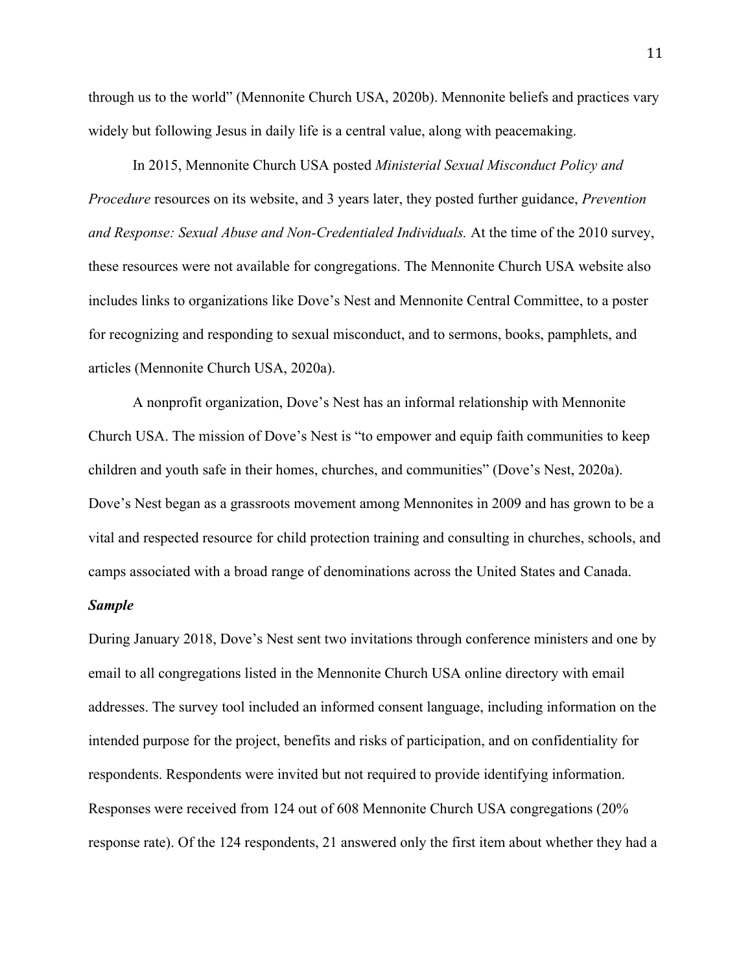through us to the world" (Mennonite Church USA, 2020b). Mennonite beliefs and practices vary widely but following Jesus in daily life is a central value, along with peacemaking.

In 2015, Mennonite Church USA posted *Ministerial Sexual Misconduct Policy and Procedure* resources on its website, and 3 years later, they posted further guidance, *Prevention and Response: Sexual Abuse and Non-Credentialed Individuals.* At the time of the 2010 survey, these resources were not available for congregations. The Mennonite Church USA website also includes links to organizations like Dove's Nest and Mennonite Central Committee, to a poster for recognizing and responding to sexual misconduct, and to sermons, books, pamphlets, and articles (Mennonite Church USA, 2020a).

A nonprofit organization, Dove's Nest has an informal relationship with Mennonite Church USA. The mission of Dove's Nest is "to empower and equip faith communities to keep children and youth safe in their homes, churches, and communities" (Dove's Nest, 2020a). Dove's Nest began as a grassroots movement among Mennonites in 2009 and has grown to be a vital and respected resource for child protection training and consulting in churches, schools, and camps associated with a broad range of denominations across the United States and Canada.

#### *Sample*

During January 2018, Dove's Nest sent two invitations through conference ministers and one by email to all congregations listed in the Mennonite Church USA online directory with email addresses. The survey tool included an informed consent language, including information on the intended purpose for the project, benefits and risks of participation, and on confidentiality for respondents. Respondents were invited but not required to provide identifying information. Responses were received from 124 out of 608 Mennonite Church USA congregations (20% response rate). Of the 124 respondents, 21 answered only the first item about whether they had a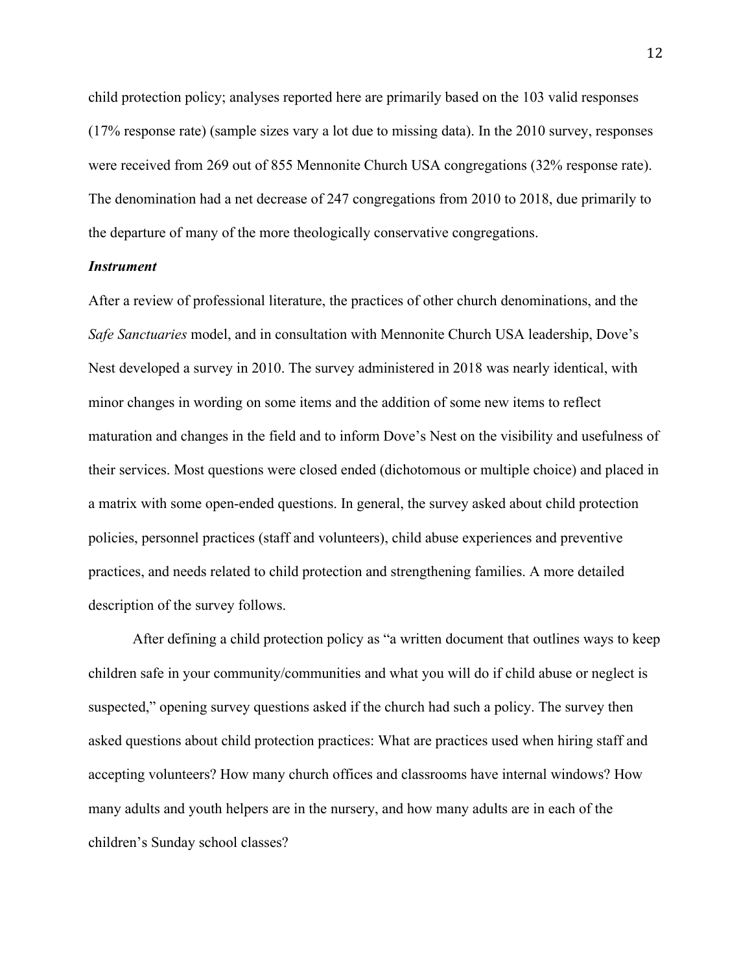child protection policy; analyses reported here are primarily based on the 103 valid responses (17% response rate) (sample sizes vary a lot due to missing data). In the 2010 survey, responses were received from 269 out of 855 Mennonite Church USA congregations (32% response rate). The denomination had a net decrease of 247 congregations from 2010 to 2018, due primarily to the departure of many of the more theologically conservative congregations.

#### *Instrument*

After a review of professional literature, the practices of other church denominations, and the *Safe Sanctuaries* model, and in consultation with Mennonite Church USA leadership, Dove's Nest developed a survey in 2010. The survey administered in 2018 was nearly identical, with minor changes in wording on some items and the addition of some new items to reflect maturation and changes in the field and to inform Dove's Nest on the visibility and usefulness of their services. Most questions were closed ended (dichotomous or multiple choice) and placed in a matrix with some open-ended questions. In general, the survey asked about child protection policies, personnel practices (staff and volunteers), child abuse experiences and preventive practices, and needs related to child protection and strengthening families. A more detailed description of the survey follows.

After defining a child protection policy as "a written document that outlines ways to keep children safe in your community/communities and what you will do if child abuse or neglect is suspected," opening survey questions asked if the church had such a policy. The survey then asked questions about child protection practices: What are practices used when hiring staff and accepting volunteers? How many church offices and classrooms have internal windows? How many adults and youth helpers are in the nursery, and how many adults are in each of the children's Sunday school classes?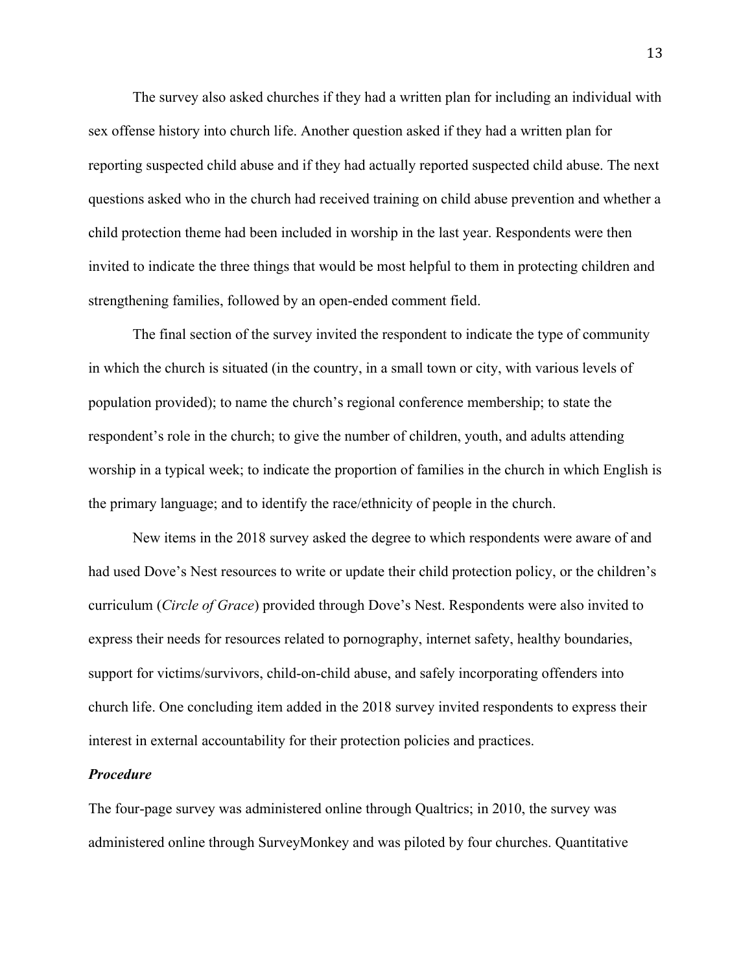The survey also asked churches if they had a written plan for including an individual with sex offense history into church life. Another question asked if they had a written plan for reporting suspected child abuse and if they had actually reported suspected child abuse. The next questions asked who in the church had received training on child abuse prevention and whether a child protection theme had been included in worship in the last year. Respondents were then invited to indicate the three things that would be most helpful to them in protecting children and strengthening families, followed by an open-ended comment field.

The final section of the survey invited the respondent to indicate the type of community in which the church is situated (in the country, in a small town or city, with various levels of population provided); to name the church's regional conference membership; to state the respondent's role in the church; to give the number of children, youth, and adults attending worship in a typical week; to indicate the proportion of families in the church in which English is the primary language; and to identify the race/ethnicity of people in the church.

New items in the 2018 survey asked the degree to which respondents were aware of and had used Dove's Nest resources to write or update their child protection policy, or the children's curriculum (*Circle of Grace*) provided through Dove's Nest. Respondents were also invited to express their needs for resources related to pornography, internet safety, healthy boundaries, support for victims/survivors, child-on-child abuse, and safely incorporating offenders into church life. One concluding item added in the 2018 survey invited respondents to express their interest in external accountability for their protection policies and practices.

#### *Procedure*

The four-page survey was administered online through Qualtrics; in 2010, the survey was administered online through SurveyMonkey and was piloted by four churches. Quantitative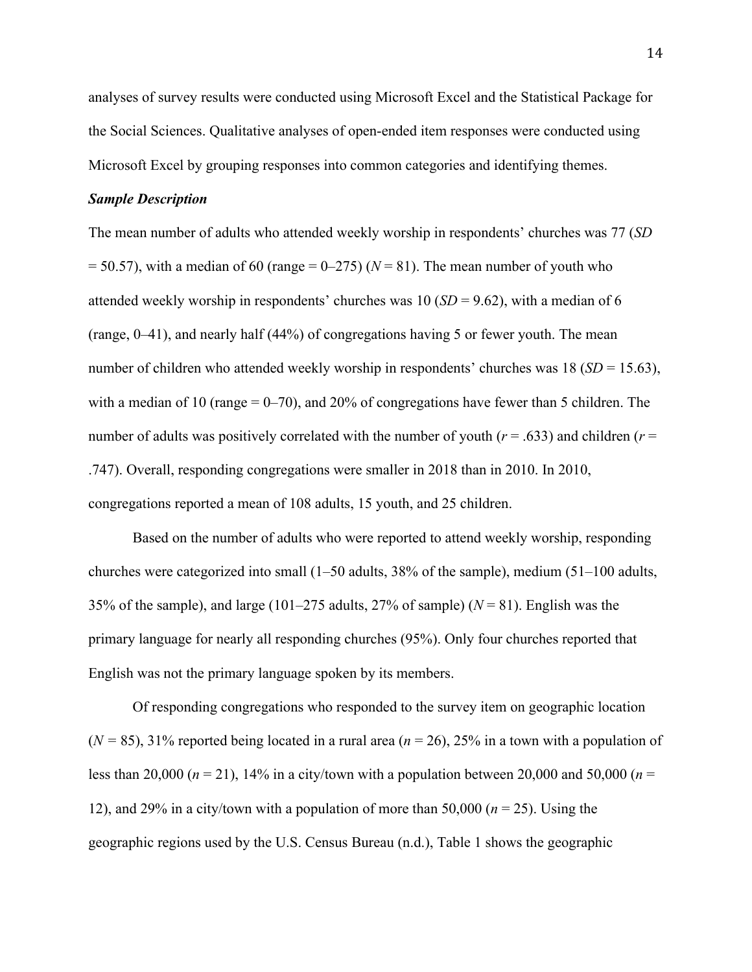analyses of survey results were conducted using Microsoft Excel and the Statistical Package for the Social Sciences. Qualitative analyses of open-ended item responses were conducted using Microsoft Excel by grouping responses into common categories and identifying themes.

#### *Sample Description*

The mean number of adults who attended weekly worship in respondents' churches was 77 (*SD*  $= 50.57$ ), with a median of 60 (range  $= 0-275$ ) ( $N = 81$ ). The mean number of youth who attended weekly worship in respondents' churches was 10 (*SD* = 9.62), with a median of 6 (range, 0–41), and nearly half (44%) of congregations having 5 or fewer youth. The mean number of children who attended weekly worship in respondents' churches was 18 (*SD* = 15.63), with a median of 10 (range  $= 0-70$ ), and 20% of congregations have fewer than 5 children. The number of adults was positively correlated with the number of youth (*r* = .633) and children (*r* = .747). Overall, responding congregations were smaller in 2018 than in 2010. In 2010, congregations reported a mean of 108 adults, 15 youth, and 25 children.

Based on the number of adults who were reported to attend weekly worship, responding churches were categorized into small (1–50 adults, 38% of the sample), medium (51–100 adults, 35% of the sample), and large (101–275 adults, 27% of sample)  $(N = 81)$ . English was the primary language for nearly all responding churches (95%). Only four churches reported that English was not the primary language spoken by its members.

Of responding congregations who responded to the survey item on geographic location (*N =* 85), 31% reported being located in a rural area (*n* = 26), 25% in a town with a population of less than 20,000 ( $n = 21$ ), 14% in a city/town with a population between 20,000 and 50,000 ( $n =$ 12), and 29% in a city/town with a population of more than 50,000 (*n* = 25). Using the geographic regions used by the U.S. Census Bureau (n.d.), Table 1 shows the geographic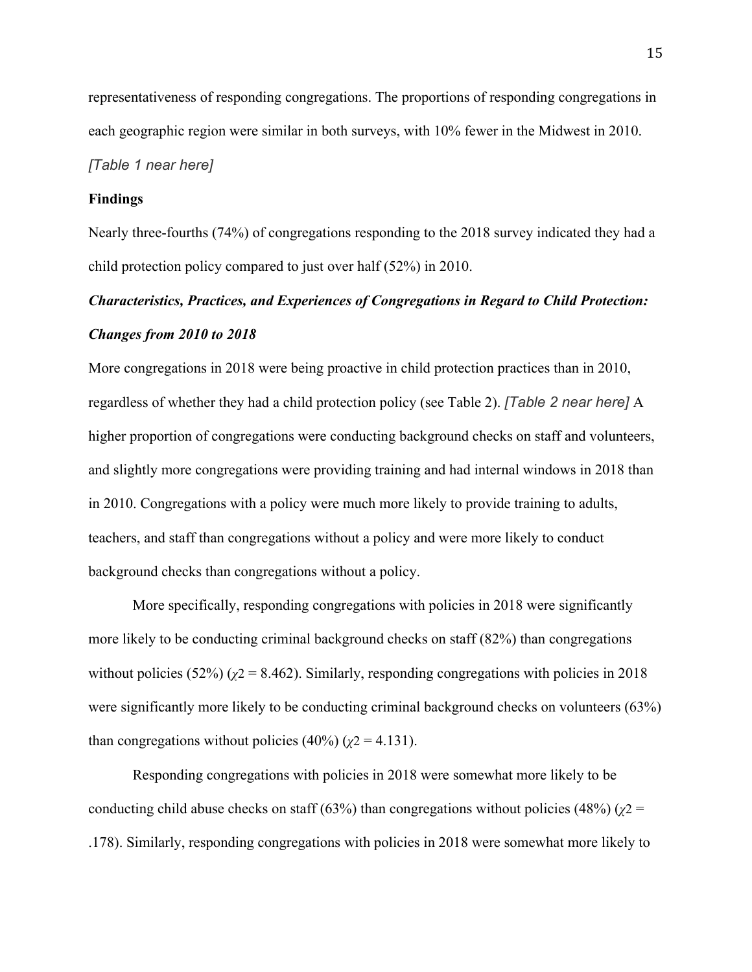representativeness of responding congregations. The proportions of responding congregations in each geographic region were similar in both surveys, with 10% fewer in the Midwest in 2010.

#### *[Table 1 near here]*

#### **Findings**

Nearly three-fourths (74%) of congregations responding to the 2018 survey indicated they had a child protection policy compared to just over half (52%) in 2010.

## *Characteristics, Practices, and Experiences of Congregations in Regard to Child Protection: Changes from 2010 to 2018*

More congregations in 2018 were being proactive in child protection practices than in 2010, regardless of whether they had a child protection policy (see Table 2). *[Table 2 near here]* A higher proportion of congregations were conducting background checks on staff and volunteers, and slightly more congregations were providing training and had internal windows in 2018 than in 2010. Congregations with a policy were much more likely to provide training to adults, teachers, and staff than congregations without a policy and were more likely to conduct background checks than congregations without a policy.

More specifically, responding congregations with policies in 2018 were significantly more likely to be conducting criminal background checks on staff (82%) than congregations without policies (52%) ( $\chi$ 2 = 8.462). Similarly, responding congregations with policies in 2018 were significantly more likely to be conducting criminal background checks on volunteers (63%) than congregations without policies  $(40\%) (\chi^2 = 4.131)$ .

Responding congregations with policies in 2018 were somewhat more likely to be conducting child abuse checks on staff (63%) than congregations without policies (48%) ( $\chi$ 2 = .178). Similarly, responding congregations with policies in 2018 were somewhat more likely to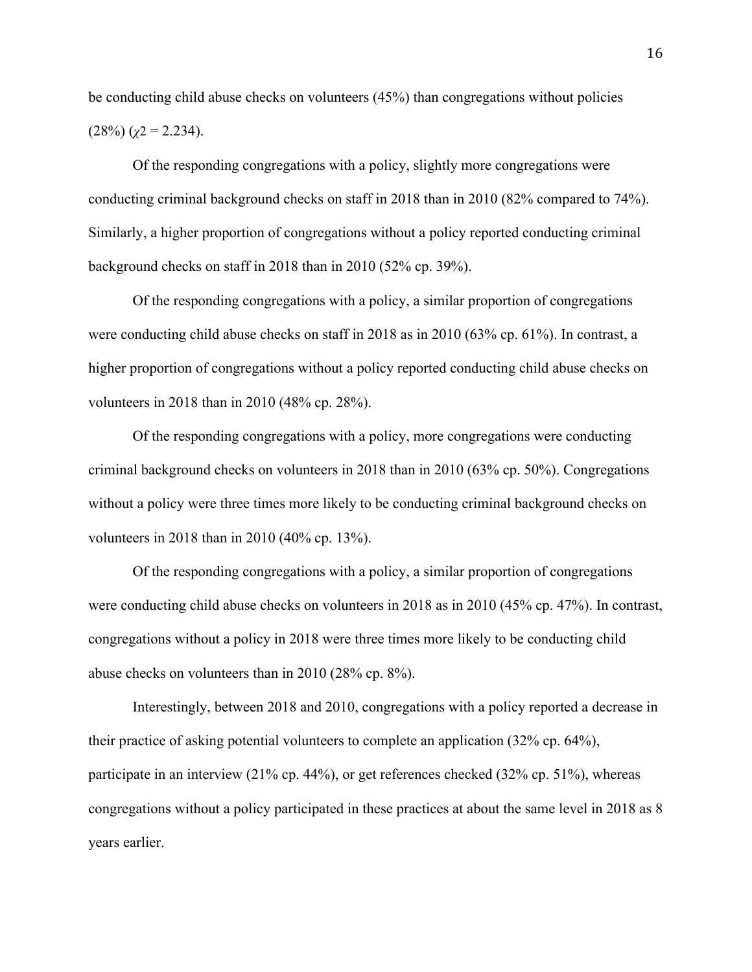be conducting child abuse checks on volunteers (45%) than congregations without policies  $(28\%) (y2 = 2.234).$ 

Of the responding congregations with a policy, slightly more congregations were conducting criminal background checks on staff in 2018 than in 2010 (82% compared to 74%). Similarly, a higher proportion of congregations without a policy reported conducting criminal background checks on staff in 2018 than in 2010 (52% cp. 39%).

Of the responding congregations with a policy, a similar proportion of congregations were conducting child abuse checks on staff in 2018 as in 2010 (63% cp. 61%). In contrast, a higher proportion of congregations without a policy reported conducting child abuse checks on volunteers in 2018 than in 2010 (48% cp. 28%).

Of the responding congregations with a policy, more congregations were conducting criminal background checks on volunteers in 2018 than in 2010 (63% cp. 50%). Congregations without a policy were three times more likely to be conducting criminal background checks on volunteers in 2018 than in 2010 (40% cp. 13%).

Of the responding congregations with a policy, a similar proportion of congregations were conducting child abuse checks on volunteers in 2018 as in 2010 (45% cp. 47%). In contrast, congregations without a policy in 2018 were three times more likely to be conducting child abuse checks on volunteers than in 2010 (28% cp. 8%).

Interestingly, between 2018 and 2010, congregations with a policy reported a decrease in their practice of asking potential volunteers to complete an application (32% cp. 64%), participate in an interview (21% cp. 44%), or get references checked (32% cp. 51%), whereas congregations without a policy participated in these practices at about the same level in 2018 as 8 years earlier.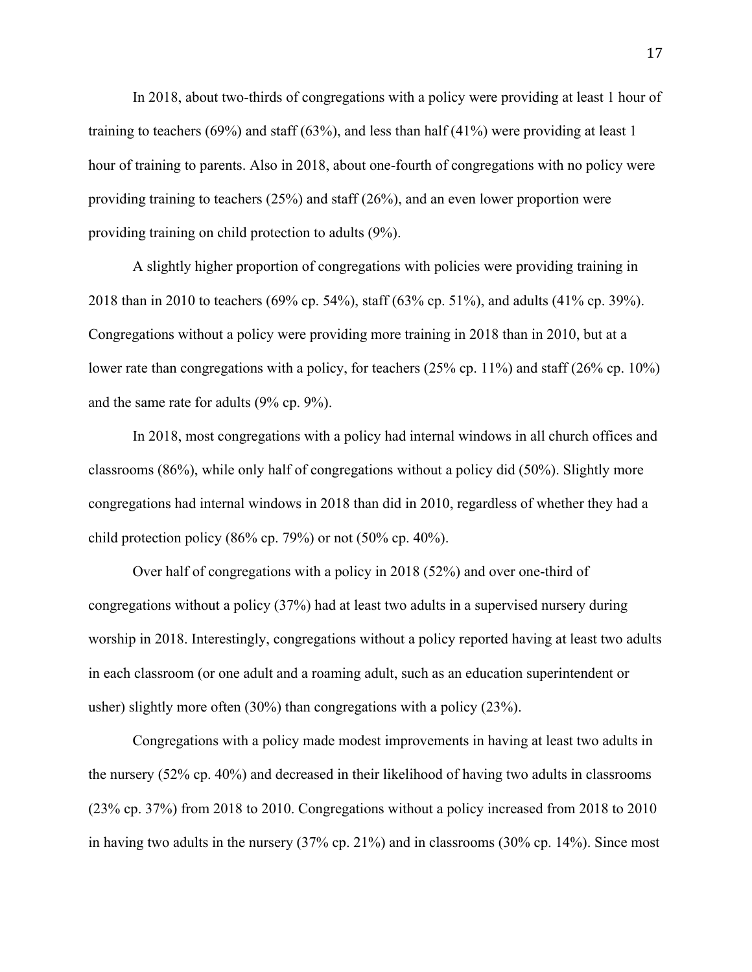In 2018, about two-thirds of congregations with a policy were providing at least 1 hour of training to teachers  $(69\%)$  and staff  $(63\%)$ , and less than half  $(41\%)$  were providing at least 1 hour of training to parents. Also in 2018, about one-fourth of congregations with no policy were providing training to teachers (25%) and staff (26%), and an even lower proportion were providing training on child protection to adults (9%).

A slightly higher proportion of congregations with policies were providing training in 2018 than in 2010 to teachers (69% cp. 54%), staff (63% cp. 51%), and adults (41% cp. 39%). Congregations without a policy were providing more training in 2018 than in 2010, but at a lower rate than congregations with a policy, for teachers (25% cp. 11%) and staff (26% cp. 10%) and the same rate for adults (9% cp. 9%).

In 2018, most congregations with a policy had internal windows in all church offices and classrooms (86%), while only half of congregations without a policy did (50%). Slightly more congregations had internal windows in 2018 than did in 2010, regardless of whether they had a child protection policy (86% cp. 79%) or not  $(50\% \text{ cp. } 40\%).$ 

Over half of congregations with a policy in 2018 (52%) and over one-third of congregations without a policy (37%) had at least two adults in a supervised nursery during worship in 2018. Interestingly, congregations without a policy reported having at least two adults in each classroom (or one adult and a roaming adult, such as an education superintendent or usher) slightly more often (30%) than congregations with a policy (23%).

Congregations with a policy made modest improvements in having at least two adults in the nursery (52% cp. 40%) and decreased in their likelihood of having two adults in classrooms (23% cp. 37%) from 2018 to 2010. Congregations without a policy increased from 2018 to 2010 in having two adults in the nursery (37% cp. 21%) and in classrooms (30% cp. 14%). Since most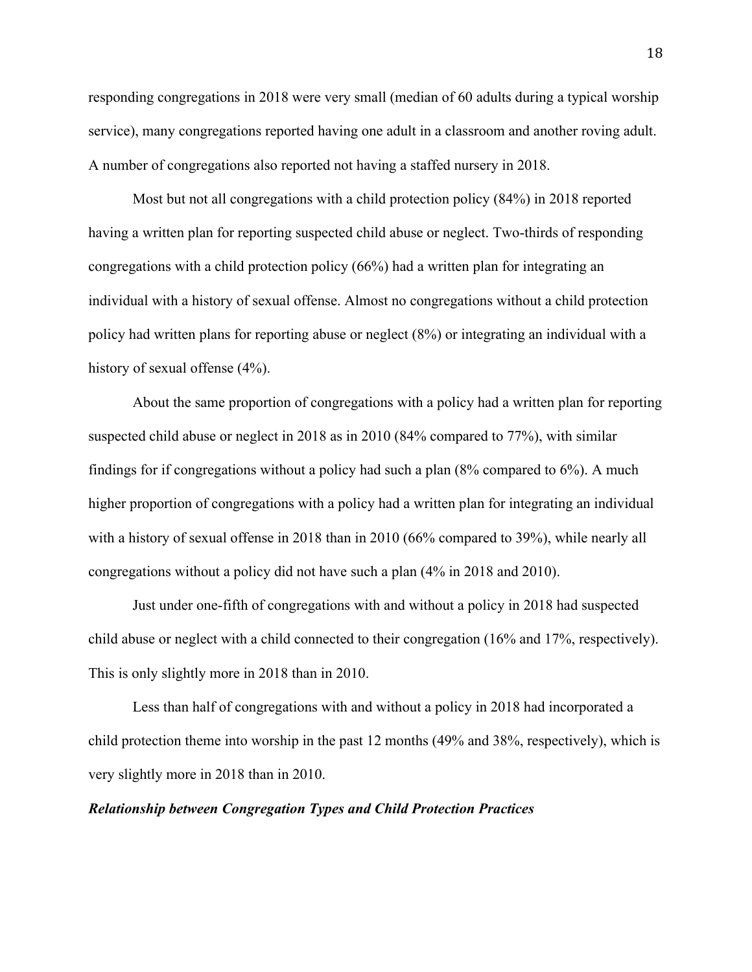responding congregations in 2018 were very small (median of 60 adults during a typical worship service), many congregations reported having one adult in a classroom and another roving adult. A number of congregations also reported not having a staffed nursery in 2018.

Most but not all congregations with a child protection policy (84%) in 2018 reported having a written plan for reporting suspected child abuse or neglect. Two-thirds of responding congregations with a child protection policy (66%) had a written plan for integrating an individual with a history of sexual offense. Almost no congregations without a child protection policy had written plans for reporting abuse or neglect (8%) or integrating an individual with a history of sexual offense  $(4\%)$ .

About the same proportion of congregations with a policy had a written plan for reporting suspected child abuse or neglect in 2018 as in 2010 (84% compared to 77%), with similar findings for if congregations without a policy had such a plan (8% compared to 6%). A much higher proportion of congregations with a policy had a written plan for integrating an individual with a history of sexual offense in 2018 than in 2010 (66% compared to 39%), while nearly all congregations without a policy did not have such a plan (4% in 2018 and 2010).

Just under one-fifth of congregations with and without a policy in 2018 had suspected child abuse or neglect with a child connected to their congregation (16% and 17%, respectively). This is only slightly more in 2018 than in 2010.

Less than half of congregations with and without a policy in 2018 had incorporated a child protection theme into worship in the past 12 months (49% and 38%, respectively), which is very slightly more in 2018 than in 2010.

#### *Relationship between Congregation Types and Child Protection Practices*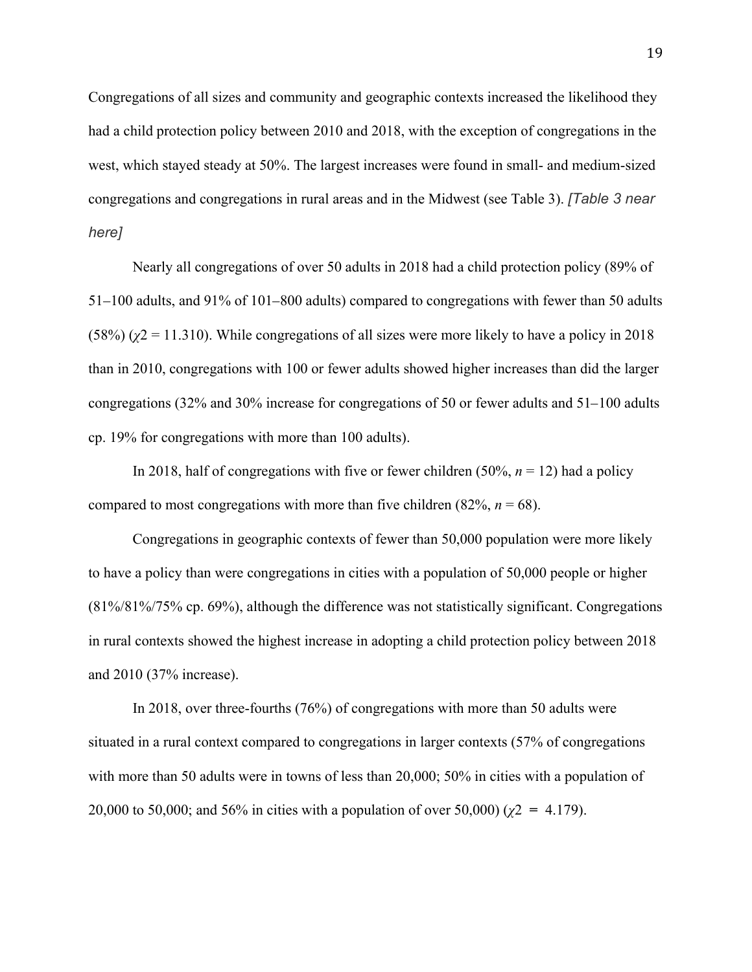Congregations of all sizes and community and geographic contexts increased the likelihood they had a child protection policy between 2010 and 2018, with the exception of congregations in the west, which stayed steady at 50%. The largest increases were found in small- and medium-sized congregations and congregations in rural areas and in the Midwest (see Table 3). *[Table 3 near here]*

Nearly all congregations of over 50 adults in 2018 had a child protection policy (89% of 51–100 adults, and 91% of 101–800 adults) compared to congregations with fewer than 50 adults (58%) ( $\chi$ 2 = 11.310). While congregations of all sizes were more likely to have a policy in 2018 than in 2010, congregations with 100 or fewer adults showed higher increases than did the larger congregations (32% and 30% increase for congregations of 50 or fewer adults and 51–100 adults cp. 19% for congregations with more than 100 adults).

In 2018, half of congregations with five or fewer children  $(50\%, n = 12)$  had a policy compared to most congregations with more than five children  $(82\%, n = 68)$ .

Congregations in geographic contexts of fewer than 50,000 population were more likely to have a policy than were congregations in cities with a population of 50,000 people or higher (81%/81%/75% cp. 69%), although the difference was not statistically significant. Congregations in rural contexts showed the highest increase in adopting a child protection policy between 2018 and 2010 (37% increase).

In 2018, over three-fourths (76%) of congregations with more than 50 adults were situated in a rural context compared to congregations in larger contexts (57% of congregations with more than 50 adults were in towns of less than 20,000; 50% in cities with a population of 20,000 to 50,000; and 56% in cities with a population of over 50,000) (*χ*2 **=** 4.179).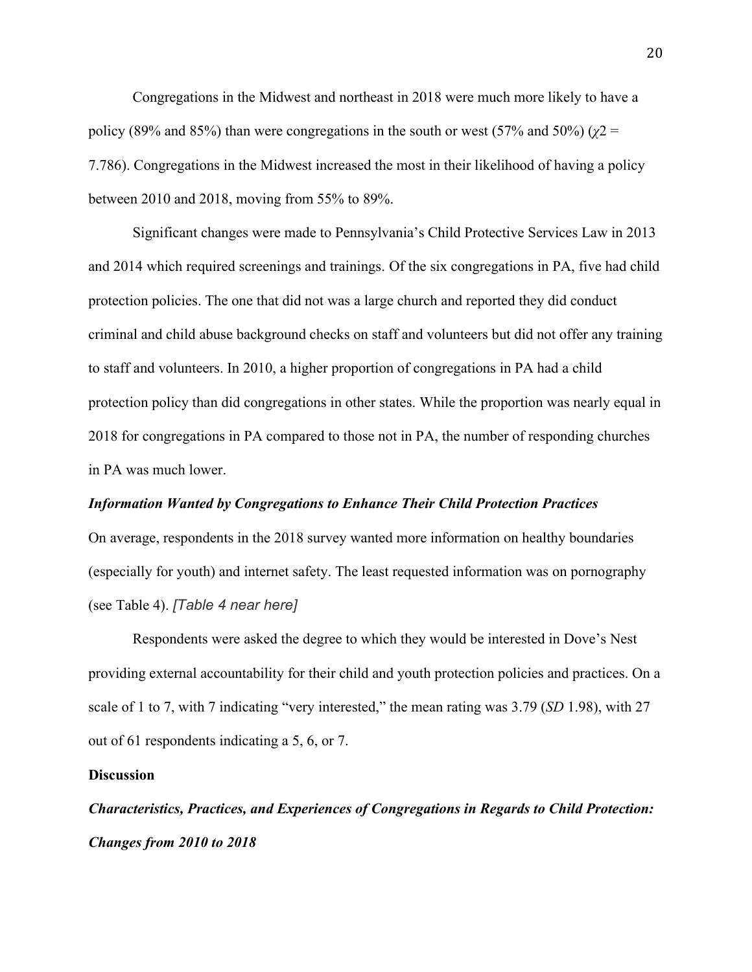Congregations in the Midwest and northeast in 2018 were much more likely to have a policy (89% and 85%) than were congregations in the south or west (57% and 50%) ( $\chi$ 2 = 7.786). Congregations in the Midwest increased the most in their likelihood of having a policy between 2010 and 2018, moving from 55% to 89%.

Significant changes were made to Pennsylvania's Child Protective Services Law in 2013 and 2014 which required screenings and trainings. Of the six congregations in PA, five had child protection policies. The one that did not was a large church and reported they did conduct criminal and child abuse background checks on staff and volunteers but did not offer any training to staff and volunteers. In 2010, a higher proportion of congregations in PA had a child protection policy than did congregations in other states. While the proportion was nearly equal in 2018 for congregations in PA compared to those not in PA, the number of responding churches in PA was much lower.

#### *Information Wanted by Congregations to Enhance Their Child Protection Practices*

On average, respondents in the 2018 survey wanted more information on healthy boundaries (especially for youth) and internet safety. The least requested information was on pornography (see Table 4). *[Table 4 near here]*

Respondents were asked the degree to which they would be interested in Dove's Nest providing external accountability for their child and youth protection policies and practices. On a scale of 1 to 7, with 7 indicating "very interested," the mean rating was 3.79 (*SD* 1.98), with 27 out of 61 respondents indicating a 5, 6, or 7.

#### **Discussion**

*Characteristics, Practices, and Experiences of Congregations in Regards to Child Protection: Changes from 2010 to 2018*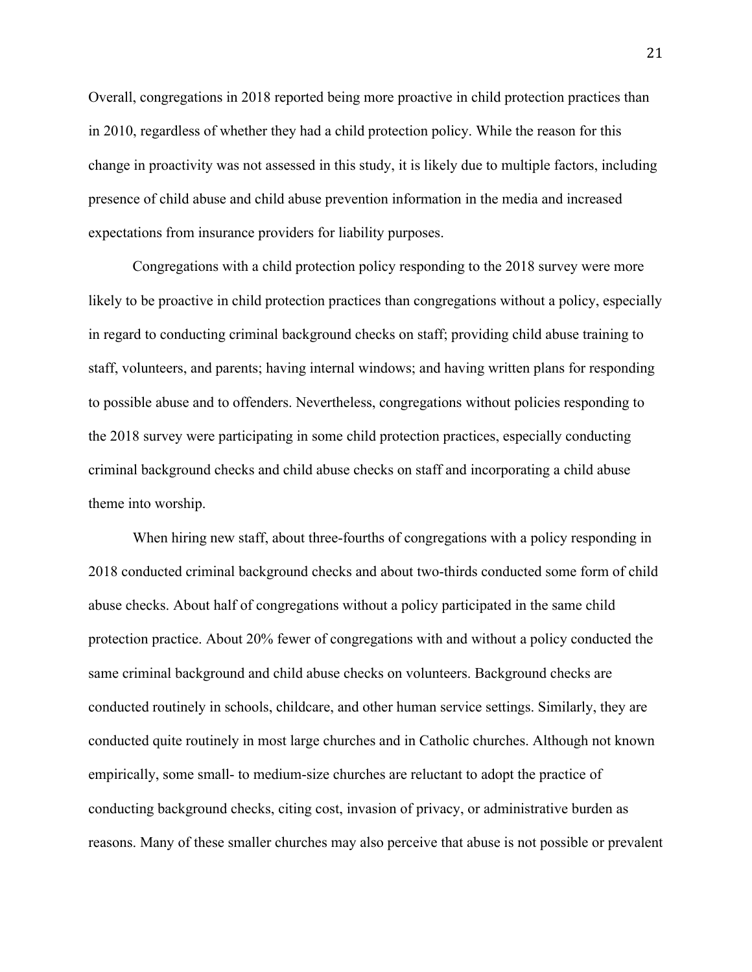Overall, congregations in 2018 reported being more proactive in child protection practices than in 2010, regardless of whether they had a child protection policy. While the reason for this change in proactivity was not assessed in this study, it is likely due to multiple factors, including presence of child abuse and child abuse prevention information in the media and increased expectations from insurance providers for liability purposes.

Congregations with a child protection policy responding to the 2018 survey were more likely to be proactive in child protection practices than congregations without a policy, especially in regard to conducting criminal background checks on staff; providing child abuse training to staff, volunteers, and parents; having internal windows; and having written plans for responding to possible abuse and to offenders. Nevertheless, congregations without policies responding to the 2018 survey were participating in some child protection practices, especially conducting criminal background checks and child abuse checks on staff and incorporating a child abuse theme into worship.

When hiring new staff, about three-fourths of congregations with a policy responding in 2018 conducted criminal background checks and about two-thirds conducted some form of child abuse checks. About half of congregations without a policy participated in the same child protection practice. About 20% fewer of congregations with and without a policy conducted the same criminal background and child abuse checks on volunteers. Background checks are conducted routinely in schools, childcare, and other human service settings. Similarly, they are conducted quite routinely in most large churches and in Catholic churches. Although not known empirically, some small- to medium-size churches are reluctant to adopt the practice of conducting background checks, citing cost, invasion of privacy, or administrative burden as reasons. Many of these smaller churches may also perceive that abuse is not possible or prevalent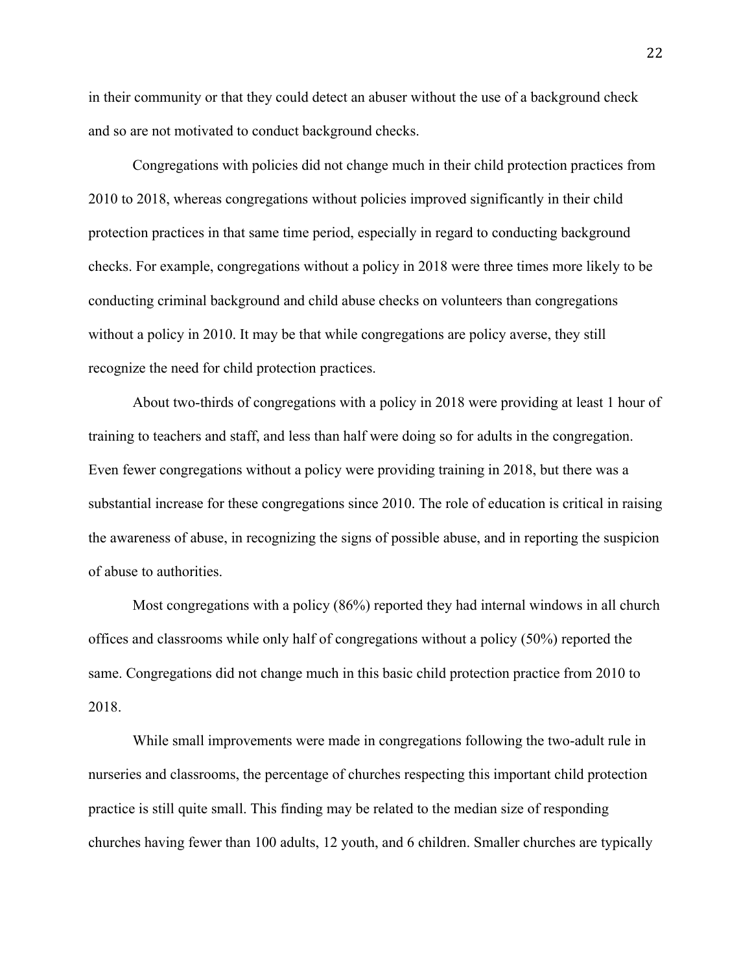in their community or that they could detect an abuser without the use of a background check and so are not motivated to conduct background checks.

Congregations with policies did not change much in their child protection practices from 2010 to 2018, whereas congregations without policies improved significantly in their child protection practices in that same time period, especially in regard to conducting background checks. For example, congregations without a policy in 2018 were three times more likely to be conducting criminal background and child abuse checks on volunteers than congregations without a policy in 2010. It may be that while congregations are policy averse, they still recognize the need for child protection practices.

About two-thirds of congregations with a policy in 2018 were providing at least 1 hour of training to teachers and staff, and less than half were doing so for adults in the congregation. Even fewer congregations without a policy were providing training in 2018, but there was a substantial increase for these congregations since 2010. The role of education is critical in raising the awareness of abuse, in recognizing the signs of possible abuse, and in reporting the suspicion of abuse to authorities.

Most congregations with a policy (86%) reported they had internal windows in all church offices and classrooms while only half of congregations without a policy (50%) reported the same. Congregations did not change much in this basic child protection practice from 2010 to 2018.

While small improvements were made in congregations following the two-adult rule in nurseries and classrooms, the percentage of churches respecting this important child protection practice is still quite small. This finding may be related to the median size of responding churches having fewer than 100 adults, 12 youth, and 6 children. Smaller churches are typically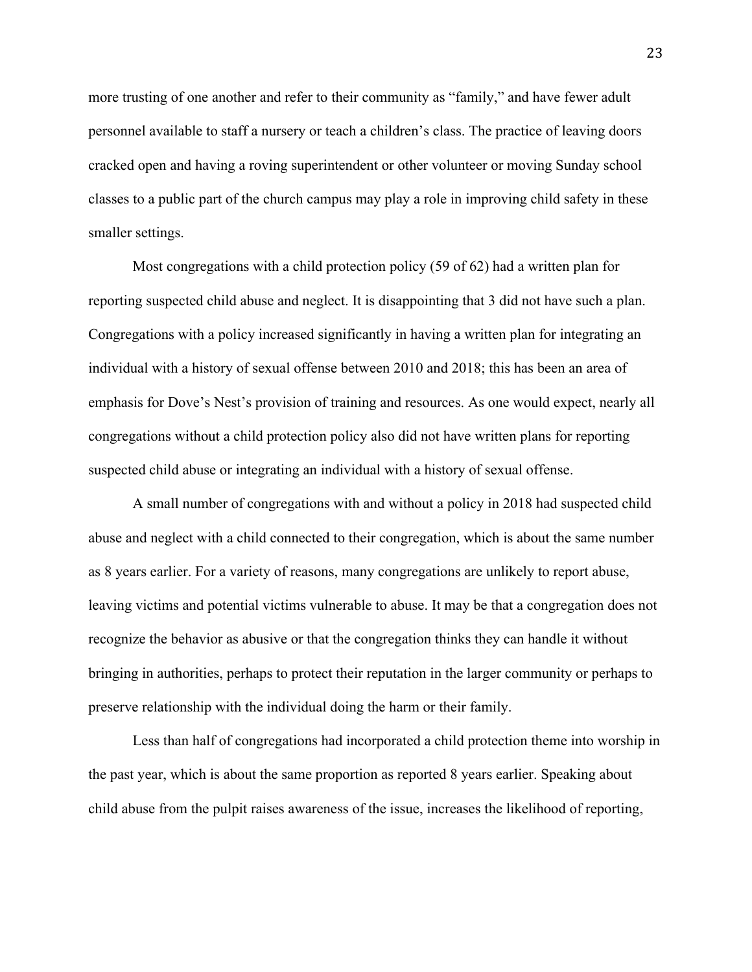more trusting of one another and refer to their community as "family," and have fewer adult personnel available to staff a nursery or teach a children's class. The practice of leaving doors cracked open and having a roving superintendent or other volunteer or moving Sunday school classes to a public part of the church campus may play a role in improving child safety in these smaller settings.

Most congregations with a child protection policy (59 of 62) had a written plan for reporting suspected child abuse and neglect. It is disappointing that 3 did not have such a plan. Congregations with a policy increased significantly in having a written plan for integrating an individual with a history of sexual offense between 2010 and 2018; this has been an area of emphasis for Dove's Nest's provision of training and resources. As one would expect, nearly all congregations without a child protection policy also did not have written plans for reporting suspected child abuse or integrating an individual with a history of sexual offense.

A small number of congregations with and without a policy in 2018 had suspected child abuse and neglect with a child connected to their congregation, which is about the same number as 8 years earlier. For a variety of reasons, many congregations are unlikely to report abuse, leaving victims and potential victims vulnerable to abuse. It may be that a congregation does not recognize the behavior as abusive or that the congregation thinks they can handle it without bringing in authorities, perhaps to protect their reputation in the larger community or perhaps to preserve relationship with the individual doing the harm or their family.

Less than half of congregations had incorporated a child protection theme into worship in the past year, which is about the same proportion as reported 8 years earlier. Speaking about child abuse from the pulpit raises awareness of the issue, increases the likelihood of reporting,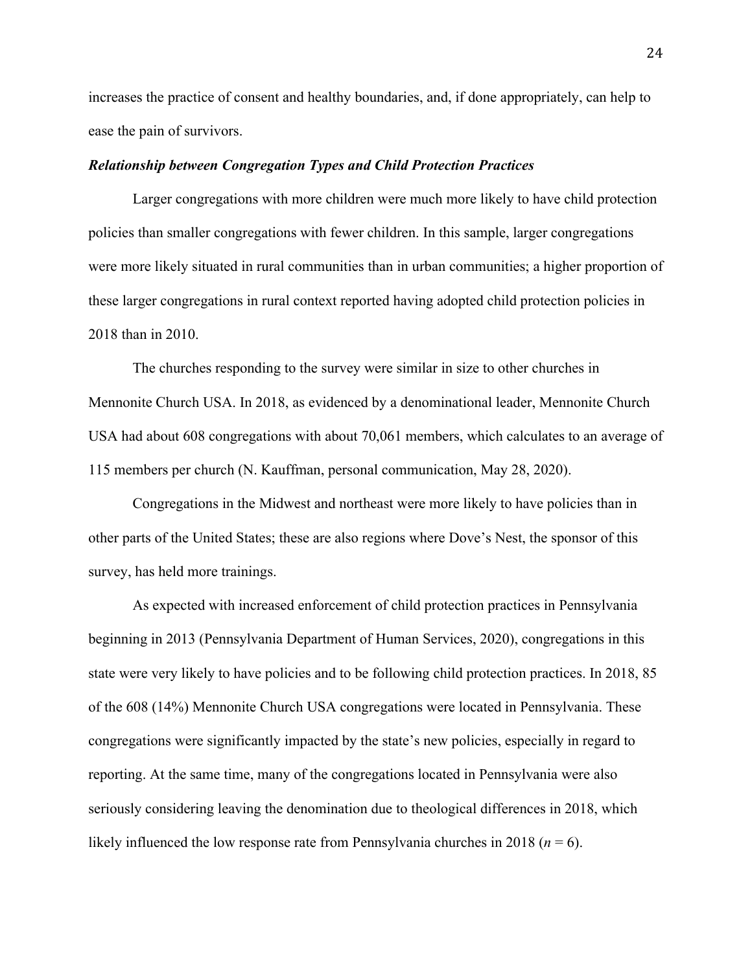increases the practice of consent and healthy boundaries, and, if done appropriately, can help to ease the pain of survivors.

#### *Relationship between Congregation Types and Child Protection Practices*

Larger congregations with more children were much more likely to have child protection policies than smaller congregations with fewer children. In this sample, larger congregations were more likely situated in rural communities than in urban communities; a higher proportion of these larger congregations in rural context reported having adopted child protection policies in 2018 than in 2010.

The churches responding to the survey were similar in size to other churches in Mennonite Church USA. In 2018, as evidenced by a denominational leader, Mennonite Church USA had about 608 congregations with about 70,061 members, which calculates to an average of 115 members per church (N. Kauffman, personal communication, May 28, 2020).

Congregations in the Midwest and northeast were more likely to have policies than in other parts of the United States; these are also regions where Dove's Nest, the sponsor of this survey, has held more trainings.

As expected with increased enforcement of child protection practices in Pennsylvania beginning in 2013 (Pennsylvania Department of Human Services, 2020), congregations in this state were very likely to have policies and to be following child protection practices. In 2018, 85 of the 608 (14%) Mennonite Church USA congregations were located in Pennsylvania. These congregations were significantly impacted by the state's new policies, especially in regard to reporting. At the same time, many of the congregations located in Pennsylvania were also seriously considering leaving the denomination due to theological differences in 2018, which likely influenced the low response rate from Pennsylvania churches in 2018 ( $n = 6$ ).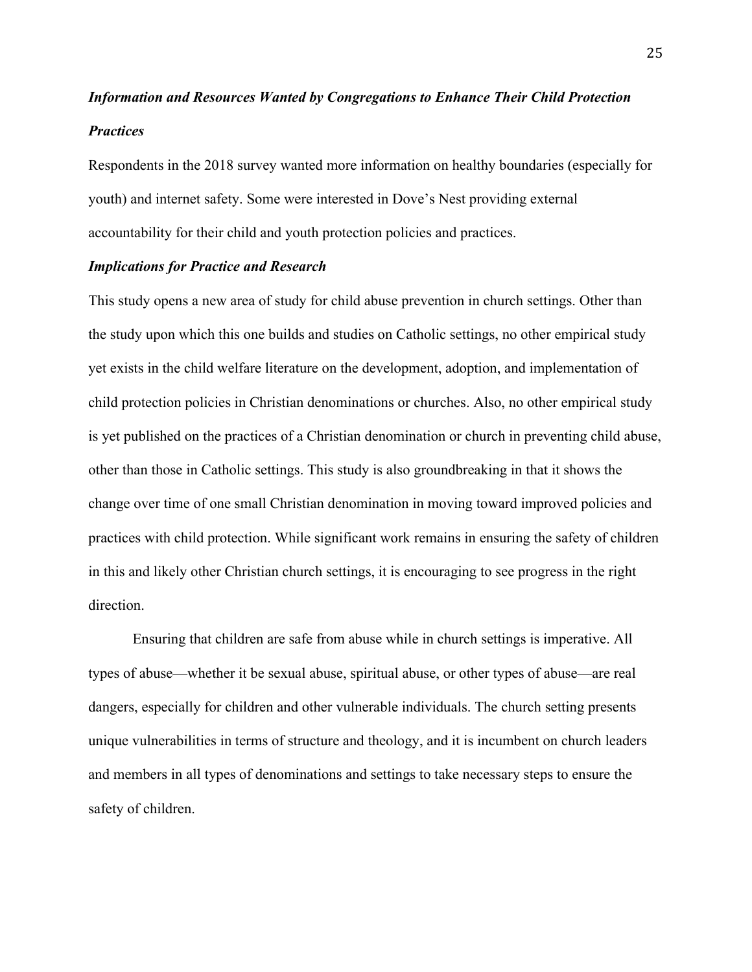## *Information and Resources Wanted by Congregations to Enhance Their Child Protection Practices*

Respondents in the 2018 survey wanted more information on healthy boundaries (especially for youth) and internet safety. Some were interested in Dove's Nest providing external accountability for their child and youth protection policies and practices.

#### *Implications for Practice and Research*

This study opens a new area of study for child abuse prevention in church settings. Other than the study upon which this one builds and studies on Catholic settings, no other empirical study yet exists in the child welfare literature on the development, adoption, and implementation of child protection policies in Christian denominations or churches. Also, no other empirical study is yet published on the practices of a Christian denomination or church in preventing child abuse, other than those in Catholic settings. This study is also groundbreaking in that it shows the change over time of one small Christian denomination in moving toward improved policies and practices with child protection. While significant work remains in ensuring the safety of children in this and likely other Christian church settings, it is encouraging to see progress in the right direction.

Ensuring that children are safe from abuse while in church settings is imperative. All types of abuse—whether it be sexual abuse, spiritual abuse, or other types of abuse—are real dangers, especially for children and other vulnerable individuals. The church setting presents unique vulnerabilities in terms of structure and theology, and it is incumbent on church leaders and members in all types of denominations and settings to take necessary steps to ensure the safety of children.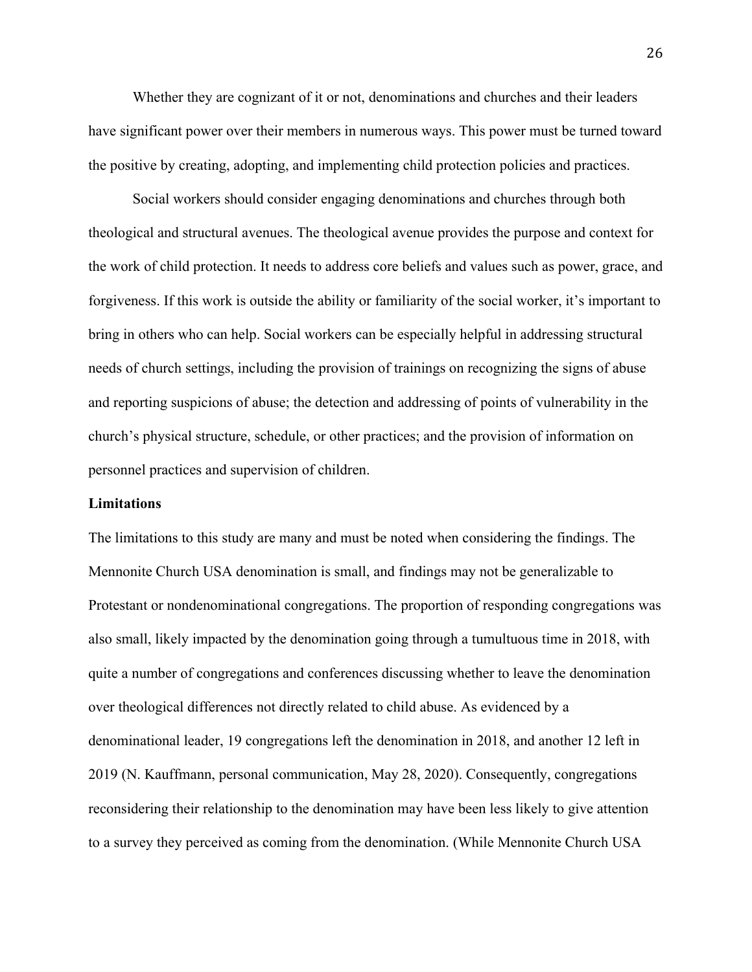Whether they are cognizant of it or not, denominations and churches and their leaders have significant power over their members in numerous ways. This power must be turned toward the positive by creating, adopting, and implementing child protection policies and practices.

Social workers should consider engaging denominations and churches through both theological and structural avenues. The theological avenue provides the purpose and context for the work of child protection. It needs to address core beliefs and values such as power, grace, and forgiveness. If this work is outside the ability or familiarity of the social worker, it's important to bring in others who can help. Social workers can be especially helpful in addressing structural needs of church settings, including the provision of trainings on recognizing the signs of abuse and reporting suspicions of abuse; the detection and addressing of points of vulnerability in the church's physical structure, schedule, or other practices; and the provision of information on personnel practices and supervision of children.

#### **Limitations**

The limitations to this study are many and must be noted when considering the findings. The Mennonite Church USA denomination is small, and findings may not be generalizable to Protestant or nondenominational congregations. The proportion of responding congregations was also small, likely impacted by the denomination going through a tumultuous time in 2018, with quite a number of congregations and conferences discussing whether to leave the denomination over theological differences not directly related to child abuse. As evidenced by a denominational leader, 19 congregations left the denomination in 2018, and another 12 left in 2019 (N. Kauffmann, personal communication, May 28, 2020). Consequently, congregations reconsidering their relationship to the denomination may have been less likely to give attention to a survey they perceived as coming from the denomination. (While Mennonite Church USA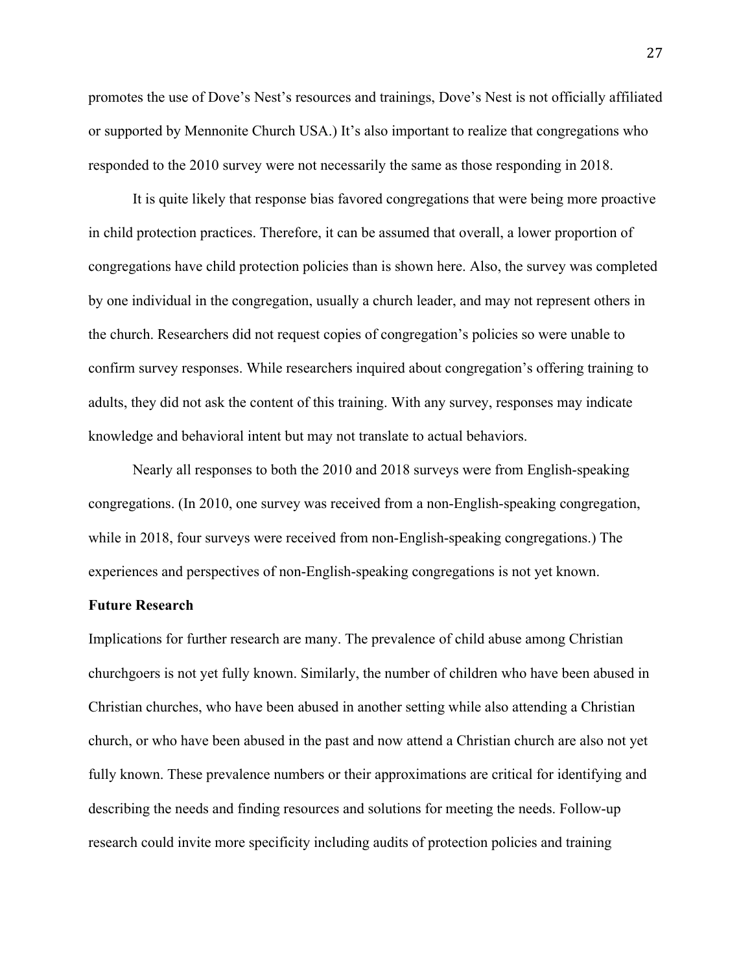promotes the use of Dove's Nest's resources and trainings, Dove's Nest is not officially affiliated or supported by Mennonite Church USA.) It's also important to realize that congregations who responded to the 2010 survey were not necessarily the same as those responding in 2018.

It is quite likely that response bias favored congregations that were being more proactive in child protection practices. Therefore, it can be assumed that overall, a lower proportion of congregations have child protection policies than is shown here. Also, the survey was completed by one individual in the congregation, usually a church leader, and may not represent others in the church. Researchers did not request copies of congregation's policies so were unable to confirm survey responses. While researchers inquired about congregation's offering training to adults, they did not ask the content of this training. With any survey, responses may indicate knowledge and behavioral intent but may not translate to actual behaviors.

Nearly all responses to both the 2010 and 2018 surveys were from English-speaking congregations. (In 2010, one survey was received from a non-English-speaking congregation, while in 2018, four surveys were received from non-English-speaking congregations.) The experiences and perspectives of non-English-speaking congregations is not yet known.

#### **Future Research**

Implications for further research are many. The prevalence of child abuse among Christian churchgoers is not yet fully known. Similarly, the number of children who have been abused in Christian churches, who have been abused in another setting while also attending a Christian church, or who have been abused in the past and now attend a Christian church are also not yet fully known. These prevalence numbers or their approximations are critical for identifying and describing the needs and finding resources and solutions for meeting the needs. Follow-up research could invite more specificity including audits of protection policies and training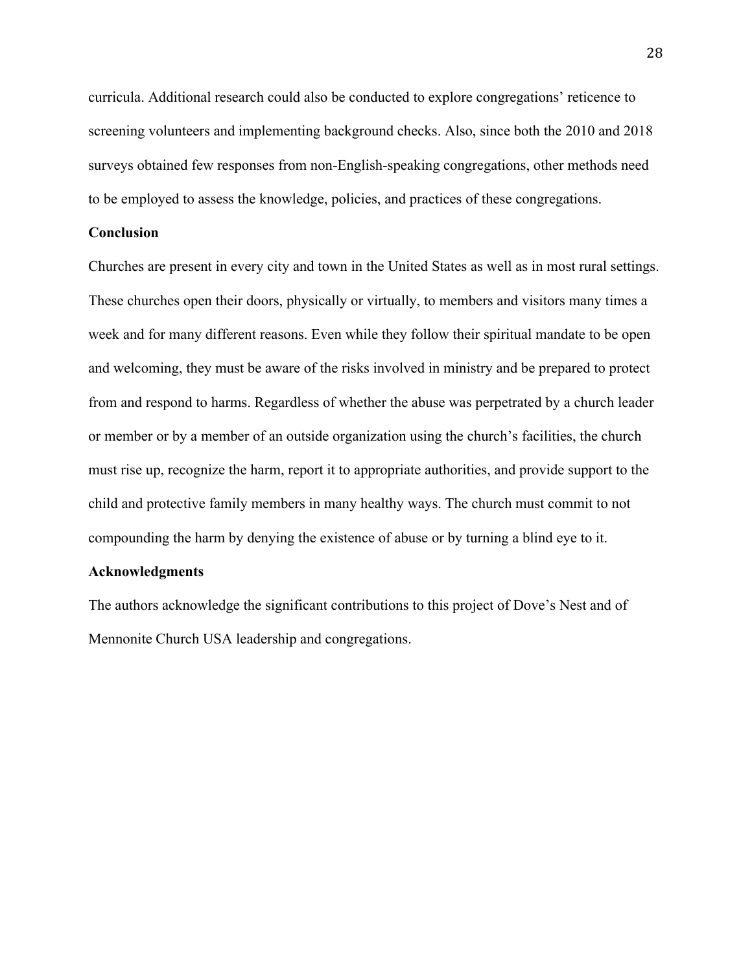curricula. Additional research could also be conducted to explore congregations' reticence to screening volunteers and implementing background checks. Also, since both the 2010 and 2018 surveys obtained few responses from non-English-speaking congregations, other methods need to be employed to assess the knowledge, policies, and practices of these congregations.

#### **Conclusion**

Churches are present in every city and town in the United States as well as in most rural settings. These churches open their doors, physically or virtually, to members and visitors many times a week and for many different reasons. Even while they follow their spiritual mandate to be open and welcoming, they must be aware of the risks involved in ministry and be prepared to protect from and respond to harms. Regardless of whether the abuse was perpetrated by a church leader or member or by a member of an outside organization using the church's facilities, the church must rise up, recognize the harm, report it to appropriate authorities, and provide support to the child and protective family members in many healthy ways. The church must commit to not compounding the harm by denying the existence of abuse or by turning a blind eye to it.

#### **Acknowledgments**

The authors acknowledge the significant contributions to this project of Dove's Nest and of Mennonite Church USA leadership and congregations.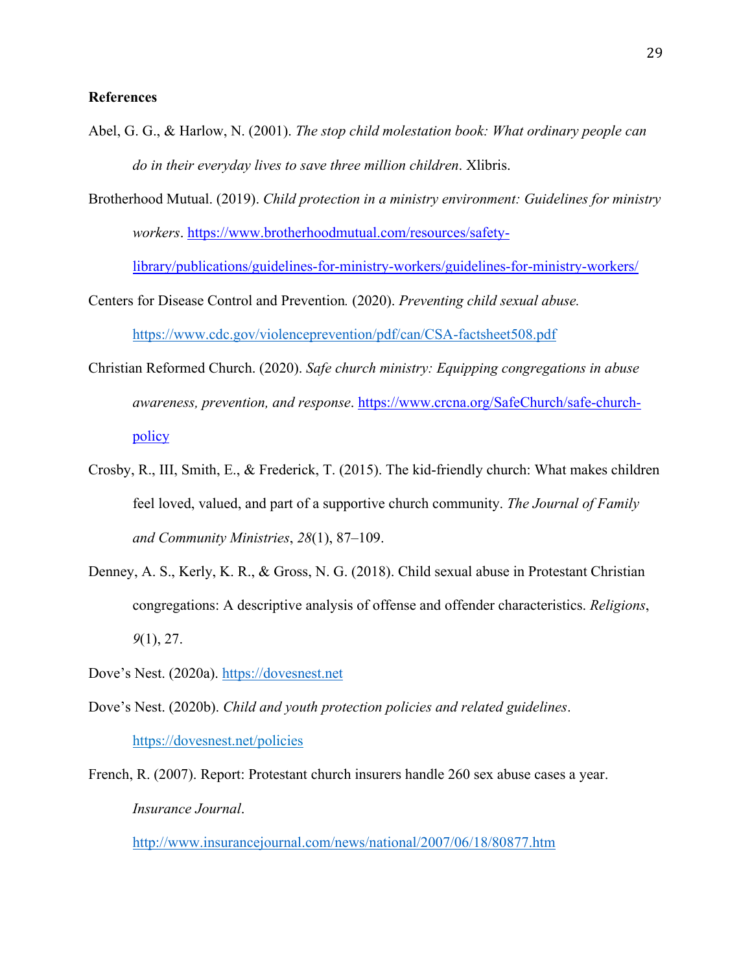#### **References**

- Abel, G. G., & Harlow, N. (2001). *The stop child molestation book: What ordinary people can do in their everyday lives to save three million children*. Xlibris.
- Brotherhood Mutual. (2019). *Child protection in a ministry environment: Guidelines for ministry workers*. [https://www.brotherhoodmutual.com/resources/safety-](https://www.brotherhoodmutual.com/resources/safety-library/publications/guidelines-for-ministry-workers/guidelines-for-ministry-workers/)

[library/publications/guidelines-for-ministry-workers/guidelines-for-ministry-workers/](https://www.brotherhoodmutual.com/resources/safety-library/publications/guidelines-for-ministry-workers/guidelines-for-ministry-workers/)

Centers for Disease Control and Prevention*.* (2020). *Preventing child sexual abuse.* <https://www.cdc.gov/violenceprevention/pdf/can/CSA-factsheet508.pdf>

- Christian Reformed Church. (2020). *Safe church ministry: Equipping congregations in abuse awareness, prevention, and response*. [https://www.crcna.org/SafeChurch/safe-church](https://www.crcna.org/SafeChurch/safe-church-policy)[policy](https://www.crcna.org/SafeChurch/safe-church-policy)
- Crosby, R., III, Smith, E., & Frederick, T. (2015). The kid-friendly church: What makes children feel loved, valued, and part of a supportive church community. *The Journal of Family and Community Ministries*, *28*(1), 87–109.
- Denney, A. S., Kerly, K. R., & Gross, N. G. (2018). Child sexual abuse in Protestant Christian congregations: A descriptive analysis of offense and offender characteristics. *Religions*, *9*(1), 27.
- Dove's Nest. (2020a). [https://dovesnest.net](https://dovesnest.net/)
- Dove's Nest. (2020b). *Child and youth protection policies and related guidelines*. <https://dovesnest.net/policies>
- French, R. (2007). Report: Protestant church insurers handle 260 sex abuse cases a year. *Insurance Journal*.

<http://www.insurancejournal.com/news/national/2007/06/18/80877.htm>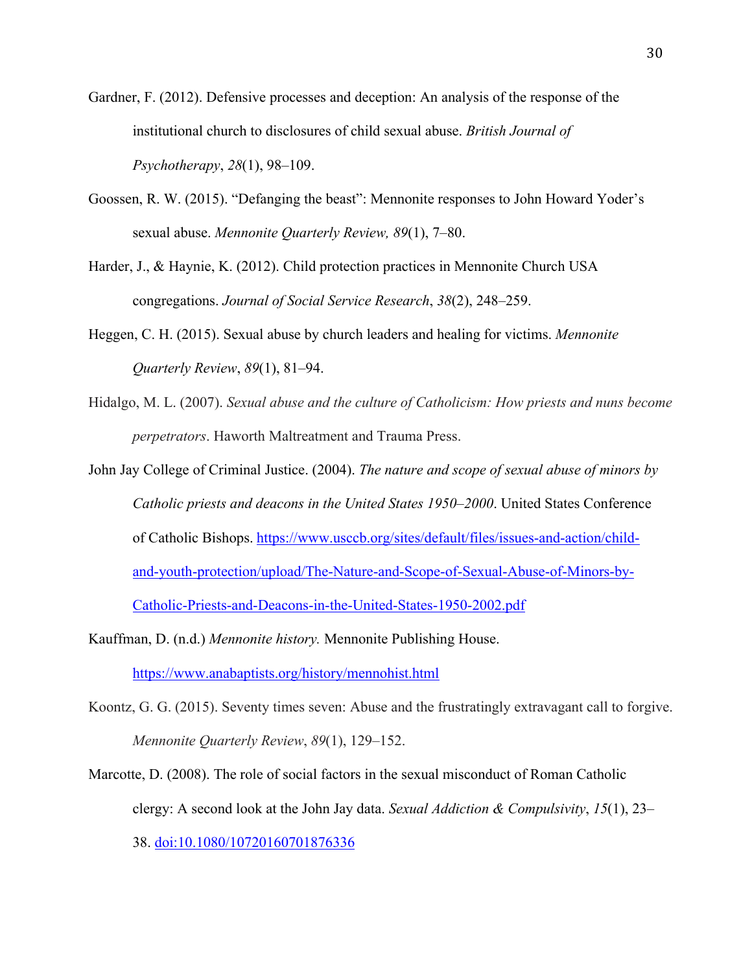Gardner, F. (2012). Defensive processes and deception: An analysis of the response of the institutional church to disclosures of child sexual abuse. *British Journal of Psychotherapy*, *28*(1), 98–109.

- Goossen, R. W. (2015). "Defanging the beast": Mennonite responses to John Howard Yoder's sexual abuse. *Mennonite Quarterly Review, 89*(1), 7–80.
- Harder, J., & Haynie, K. (2012). Child protection practices in Mennonite Church USA congregations. *Journal of Social Service Research*, *38*(2), 248–259.
- Heggen, C. H. (2015). Sexual abuse by church leaders and healing for victims. *Mennonite Quarterly Review*, *89*(1), 81–94.
- Hidalgo, M. L. (2007). *Sexual abuse and the culture of Catholicism: How priests and nuns become perpetrators*. Haworth Maltreatment and Trauma Press.
- John Jay College of Criminal Justice. (2004). *The nature and scope of sexual abuse of minors by Catholic priests and deacons in the United States 1950–2000*. United States Conference of Catholic Bishops. [https://www.usccb.org/sites/default/files/issues-and-action/child](https://www.usccb.org/sites/default/files/issues-and-action/child-and-youth-protection/upload/The-Nature-and-Scope-of-Sexual-Abuse-of-Minors-by-Catholic-Priests-and-Deacons-in-the-United-States-1950-2002.pdf)[and-youth-protection/upload/The-Nature-and-Scope-of-Sexual-Abuse-of-Minors-by-](https://www.usccb.org/sites/default/files/issues-and-action/child-and-youth-protection/upload/The-Nature-and-Scope-of-Sexual-Abuse-of-Minors-by-Catholic-Priests-and-Deacons-in-the-United-States-1950-2002.pdf)[Catholic-Priests-and-Deacons-in-the-United-States-1950-2002.pdf](https://www.usccb.org/sites/default/files/issues-and-action/child-and-youth-protection/upload/The-Nature-and-Scope-of-Sexual-Abuse-of-Minors-by-Catholic-Priests-and-Deacons-in-the-United-States-1950-2002.pdf)
- Kauffman, D. (n.d.) *Mennonite history.* Mennonite Publishing House. <https://www.anabaptists.org/history/mennohist.html>
- Koontz, G. G. (2015). Seventy times seven: Abuse and the frustratingly extravagant call to forgive. *Mennonite Quarterly Review*, *89*(1), 129–152.
- Marcotte, D. (2008). The role of social factors in the sexual misconduct of Roman Catholic clergy: A second look at the John Jay data. *Sexual Addiction & Compulsivity*, *15*(1), 23– 38.<doi:10.1080/10720160701876336>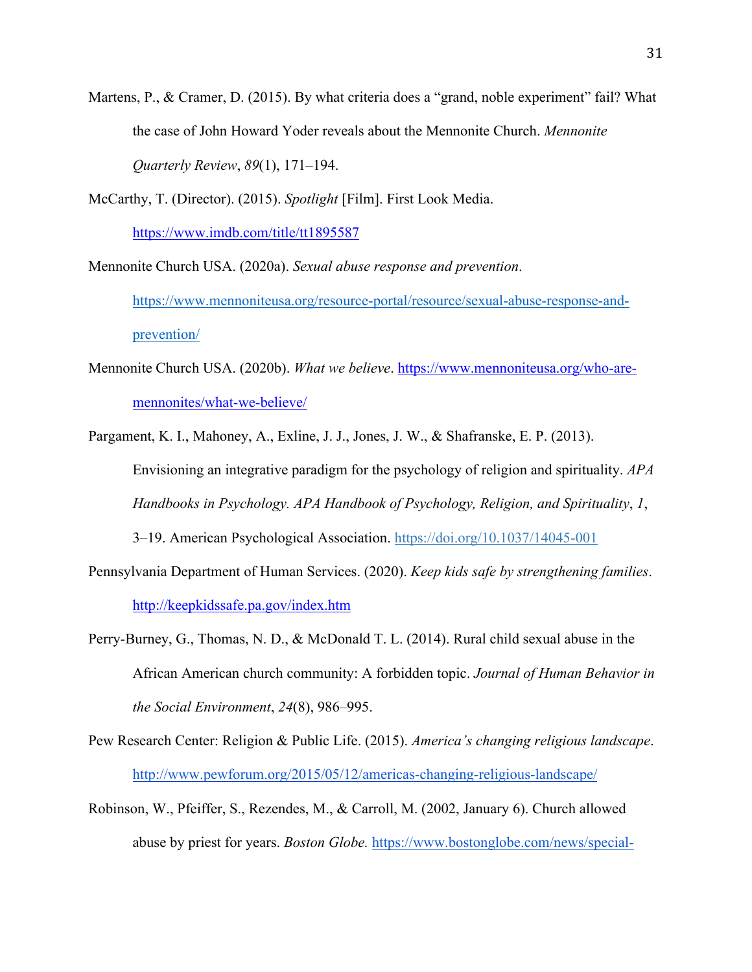- Martens, P., & Cramer, D. (2015). By what criteria does a "grand, noble experiment" fail? What the case of John Howard Yoder reveals about the Mennonite Church. *Mennonite Quarterly Review*, *89*(1), 171–194.
- McCarthy, T. (Director). (2015). *Spotlight* [Film]. First Look Media. <https://www.imdb.com/title/tt1895587>

Mennonite Church USA. (2020a). *Sexual abuse response and prevention*. https://www.mennoniteusa.org/resource-portal/resource/sexual-abuse-response-andprevention/

- Mennonite Church USA. (2020b). *What we believe*. [https://www.mennoniteusa.org/who-are](https://www.mennoniteusa.org/who-are-mennonites/what-we-believe/)[mennonites/what-we-believe/](https://www.mennoniteusa.org/who-are-mennonites/what-we-believe/)
- Pargament, K. I., Mahoney, A., Exline, J. J., Jones, J. W., & Shafranske, E. P. (2013). Envisioning an integrative paradigm for the psychology of religion and spirituality. *APA Handbooks in Psychology. APA Handbook of Psychology, Religion, and Spirituality*, *1*, 3–19. American Psychological Association. [https://doi.org/10.1037/14045-001](https://psycnet.apa.org/doi/10.1037/14045-001)
- Pennsylvania Department of Human Services. (2020). *Keep kids safe by strengthening families*. <http://keepkidssafe.pa.gov/index.htm>
- Perry-Burney, G., Thomas, N. D., & McDonald T. L. (2014). Rural child sexual abuse in the African American church community: A forbidden topic. *Journal of Human Behavior in the Social Environment*, *24*(8), 986–995.
- Pew Research Center: Religion & Public Life. (2015). *America's changing religious landscape*. <http://www.pewforum.org/2015/05/12/americas-changing-religious-landscape/>
- Robinson, W., Pfeiffer, S., Rezendes, M., & Carroll, M. (2002, January 6). Church allowed abuse by priest for years. *Boston Globe.* [https://www.bostonglobe.com/news/special-](https://www.bostonglobe.com/news/special-reports/2002/01/06/church-allowed-abuse-priest-for-years/cSHfGkTIrAT25qKGvBuDNM/story.html)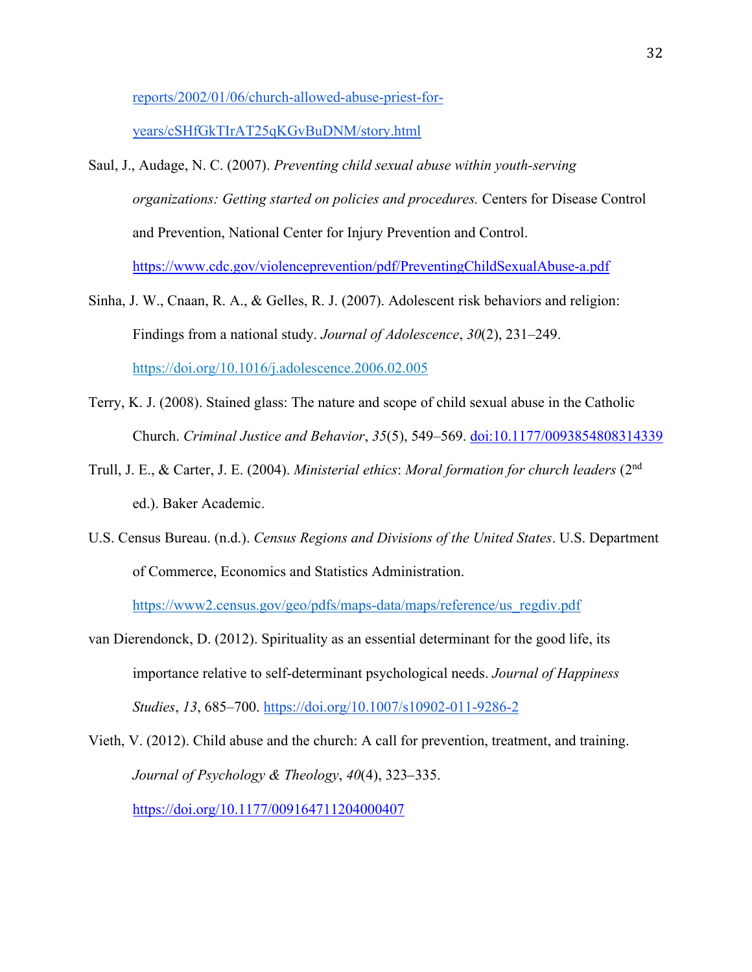[reports/2002/01/06/church-allowed-abuse-priest-for-](https://www.bostonglobe.com/news/special-reports/2002/01/06/church-allowed-abuse-priest-for-years/cSHfGkTIrAT25qKGvBuDNM/story.html)

[years/cSHfGkTIrAT25qKGvBuDNM/story.html](https://www.bostonglobe.com/news/special-reports/2002/01/06/church-allowed-abuse-priest-for-years/cSHfGkTIrAT25qKGvBuDNM/story.html)

- Saul, J., Audage, N. C. (2007). *Preventing child sexual abuse within youth-serving organizations: Getting started on policies and procedures.* Centers for Disease Control and Prevention, National Center for Injury Prevention and Control. <https://www.cdc.gov/violenceprevention/pdf/PreventingChildSexualAbuse-a.pdf>
- Sinha, J. W., Cnaan, R. A., & Gelles, R. J. (2007). Adolescent risk behaviors and religion: Findings from a national study. *Journal of Adolescence*, *30*(2), 231–249. <https://doi.org/10.1016/j.adolescence.2006.02.005>
- Terry, K. J. (2008). Stained glass: The nature and scope of child sexual abuse in the Catholic Church. *Criminal Justice and Behavior*, *35*(5), 549–569.<doi:10.1177/0093854808314339>
- Trull, J. E., & Carter, J. E. (2004). *Ministerial ethics*: *Moral formation for church leaders* (2nd ed.). Baker Academic.
- U.S. Census Bureau. (n.d.). *Census Regions and Divisions of the United States*. U.S. Department of Commerce, Economics and Statistics Administration.

[https://www2.census.gov/geo/pdfs/maps-data/maps/reference/us\\_regdiv.pdf](https://www2.census.gov/geo/pdfs/maps-data/maps/reference/us_regdiv.pdf)

van Dierendonck, D. (2012). Spirituality as an essential determinant for the good life, its importance relative to self-determinant psychological needs. *Journal of Happiness Studies*, *13*, 685–700.<https://doi.org/10.1007/s10902-011-9286-2>

Vieth, V. (2012). Child abuse and the church: A call for prevention, treatment, and training. *Journal of Psychology & Theology*, *40*(4), 323⎼335. <https://doi.org/10.1177/009164711204000407>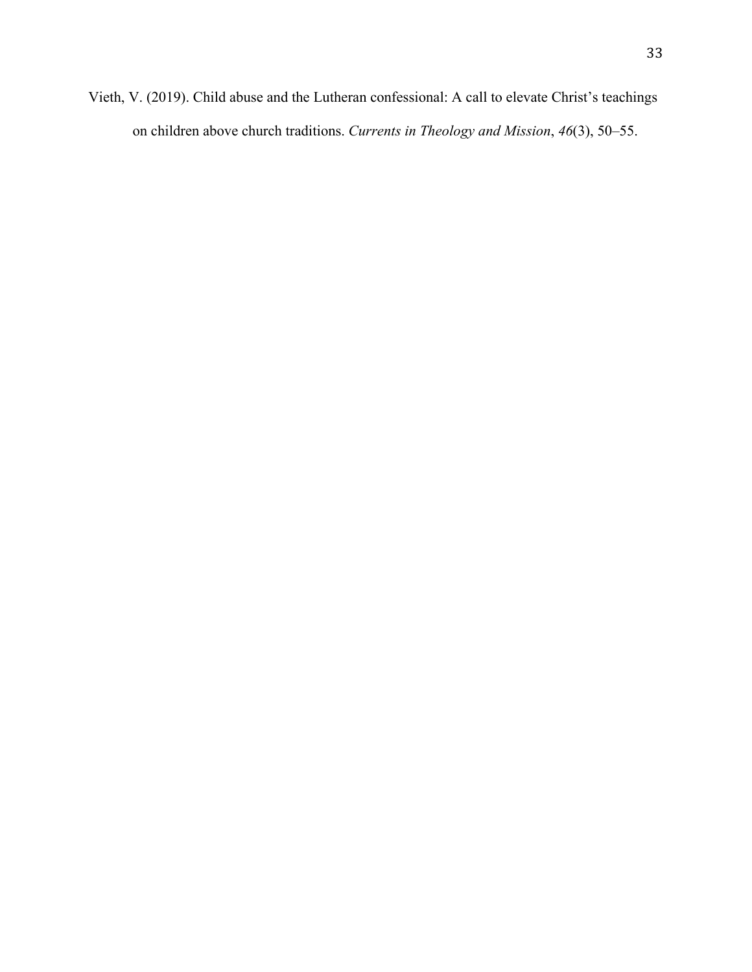Vieth, V. (2019). Child abuse and the Lutheran confessional: A call to elevate Christ's teachings on children above church traditions. *Currents in Theology and Mission*, *46*(3), 50–55.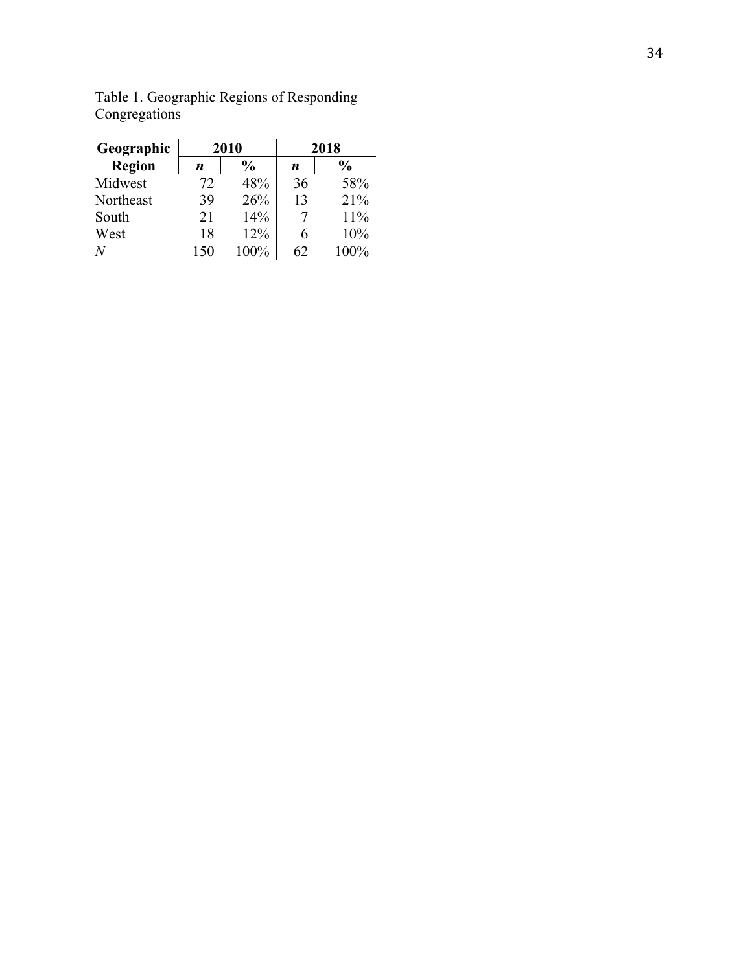| Geographic    |     | 2010          | 2018 |               |  |
|---------------|-----|---------------|------|---------------|--|
| <b>Region</b> | n   | $\frac{0}{0}$ | n    | $\frac{6}{9}$ |  |
| Midwest       | 72  | 48%           | 36   | 58%           |  |
| Northeast     | 39  | 26%           | 13   | 21%           |  |
| South         | 21  | 14%           |      | 11%           |  |
| West          | 18  | 12%           |      | 10%           |  |
| M             | 150 | 100%          | 62   | $100\%$       |  |

Table 1. Geographic Regions of Responding Congregations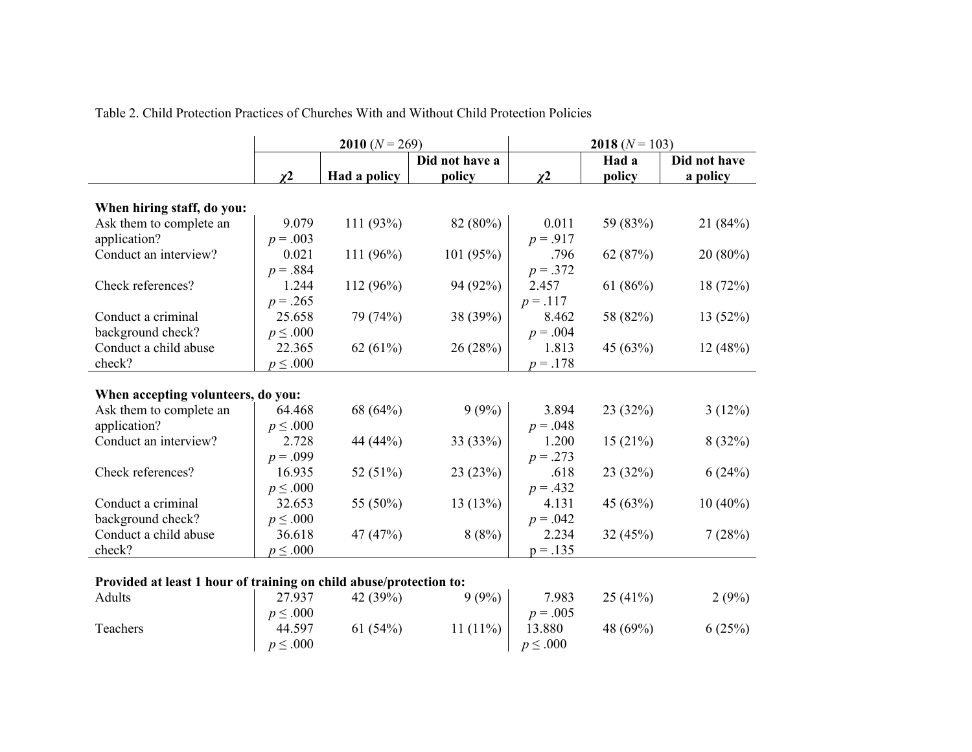|                                                                    | 2010 $(N = 269)$ |              |                | 2018 $(N = 103)$ |            |              |  |
|--------------------------------------------------------------------|------------------|--------------|----------------|------------------|------------|--------------|--|
|                                                                    |                  |              | Did not have a |                  | Had a      | Did not have |  |
|                                                                    | $\chi^2$         | Had a policy | policy         | $\chi^2$         | policy     | a policy     |  |
| When hiring staff, do you:                                         |                  |              |                |                  |            |              |  |
| Ask them to complete an                                            | 9.079            | 111 (93%)    | 82 (80%)       | 0.011            | 59 (83%)   | 21(84%)      |  |
| application?                                                       | $p = .003$       |              |                | $p = .917$       |            |              |  |
| Conduct an interview?                                              | 0.021            | 111 $(96\%)$ | 101 (95%)      | .796             | 62 (87%)   | $20(80\%)$   |  |
|                                                                    | $p = .884$       |              |                | $p = .372$       |            |              |  |
| Check references?                                                  | 1.244            | 112 (96%)    | 94 (92%)       | 2.457            | 61 $(86%)$ | 18(72%)      |  |
|                                                                    | $p = .265$       |              |                | $p = .117$       |            |              |  |
| Conduct a criminal                                                 | 25.658           | 79 (74%)     | 38 (39%)       | 8.462            | 58 (82%)   | 13(52%)      |  |
| background check?                                                  | $p \leq .000$    |              |                | $p = .004$       |            |              |  |
| Conduct a child abuse                                              | 22.365           | 62 $(61%)$   | 26(28%)        | 1.813            | 45 (63%)   | 12(48%)      |  |
| check?                                                             | $p \leq .000$    |              |                | $p = .178$       |            |              |  |
|                                                                    |                  |              |                |                  |            |              |  |
| When accepting volunteers, do you:                                 |                  |              |                |                  |            |              |  |
| Ask them to complete an                                            | 64.468           | 68 (64%)     | 9(9%)          | 3.894            | 23 (32%)   | 3(12%)       |  |
| application?                                                       | $p \leq .000$    |              |                | $p = .048$       |            |              |  |
| Conduct an interview?                                              | 2.728            | 44 (44%)     | 33 (33%)       | 1.200            | 15(21%)    | 8(32%)       |  |
|                                                                    | $p = .099$       |              |                | $p = .273$       |            |              |  |
| Check references?                                                  | 16.935           | 52 (51%)     | 23(23%)        | .618             | 23 (32%)   | 6(24%)       |  |
|                                                                    | $p \leq .000$    |              |                | $p = .432$       |            |              |  |
| Conduct a criminal                                                 | 32.653           | 55 (50%)     | 13(13%)        | 4.131            | 45 (63%)   | $10(40\%)$   |  |
| background check?                                                  | $p \leq .000$    |              |                | $p = .042$       |            |              |  |
| Conduct a child abuse                                              | 36.618           | 47 (47%)     | 8(8%)          | 2.234            | 32 (45%)   | 7(28%)       |  |
| check?                                                             | $p \leq .000$    |              |                | $p = .135$       |            |              |  |
|                                                                    |                  |              |                |                  |            |              |  |
| Provided at least 1 hour of training on child abuse/protection to: |                  |              |                |                  |            |              |  |
| Adults                                                             | 27.937           | 42 (39%)     | 9(9%)          | 7.983            | 25(41%)    | 2(9%)        |  |
|                                                                    | $p \leq .000$    |              |                | $p = .005$       |            |              |  |
| Teachers                                                           | 44.597           | 61(54%)      | 11 $(11\%)$    | 13.880           | 48 (69%)   | 6(25%)       |  |
|                                                                    | $p \leq .000$    |              |                | $p \leq .000$    |            |              |  |

Table 2. Child Protection Practices of Churches With and Without Child Protection Policies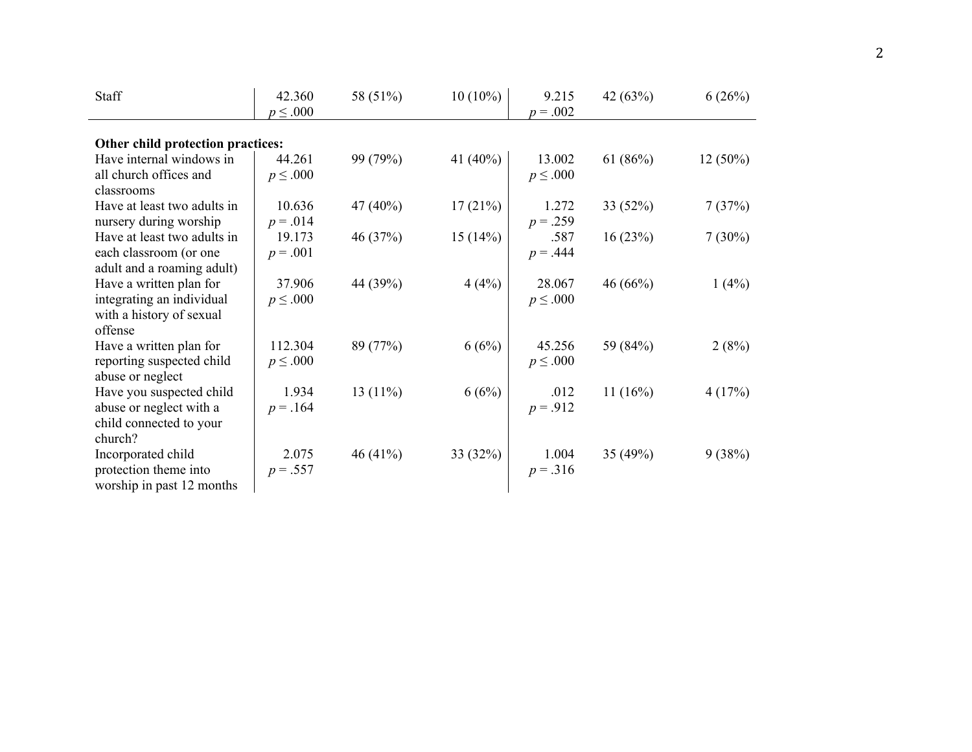| Staff                             | 42.360        | 58 (51%)   | $10(10\%)$  | 9.215         | 42 (63%)   | 6(26%)     |
|-----------------------------------|---------------|------------|-------------|---------------|------------|------------|
|                                   | $p \leq .000$ |            |             | $p = .002$    |            |            |
| Other child protection practices: |               |            |             |               |            |            |
| Have internal windows in          | 44.261        | 99 (79%)   | 41 $(40\%)$ | 13.002        | 61 $(86%)$ | $12(50\%)$ |
| all church offices and            | $p \leq .000$ |            |             | $p \leq .000$ |            |            |
| classrooms                        |               |            |             |               |            |            |
| Have at least two adults in       | 10.636        | 47 (40%)   | 17(21%)     | 1.272         | 33 (52%)   | 7(37%)     |
| nursery during worship            | $p = .014$    |            |             | $p = .259$    |            |            |
| Have at least two adults in       | 19.173        | 46 (37%)   | 15(14%)     | .587          | 16(23%)    | $7(30\%)$  |
| each classroom (or one            | $p = .001$    |            |             | $p = .444$    |            |            |
| adult and a roaming adult)        |               |            |             |               |            |            |
| Have a written plan for           | 37.906        | 44 (39%)   | 4(4%)       | 28.067        | 46 (66%)   | 1(4%)      |
| integrating an individual         | $p \leq .000$ |            |             | $p \leq .000$ |            |            |
| with a history of sexual          |               |            |             |               |            |            |
| offense                           |               |            |             |               |            |            |
| Have a written plan for           | 112.304       | 89 (77%)   | 6(6%)       | 45.256        | 59 (84%)   | 2(8%)      |
| reporting suspected child         | $p \leq .000$ |            |             | $p \leq .000$ |            |            |
| abuse or neglect                  |               |            |             |               |            |            |
| Have you suspected child          | 1.934         | 13 $(11%)$ | 6(6%)       | .012          | 11 $(16%)$ | 4(17%)     |
| abuse or neglect with a           | $p = .164$    |            |             | $p = .912$    |            |            |
| child connected to your           |               |            |             |               |            |            |
| church?                           |               |            |             |               |            |            |
| Incorporated child                | 2.075         | 46 (41%)   | 33 (32%)    | 1.004         | 35 (49%)   | 9(38%)     |
| protection theme into             | $p = .557$    |            |             | $p = .316$    |            |            |
| worship in past 12 months         |               |            |             |               |            |            |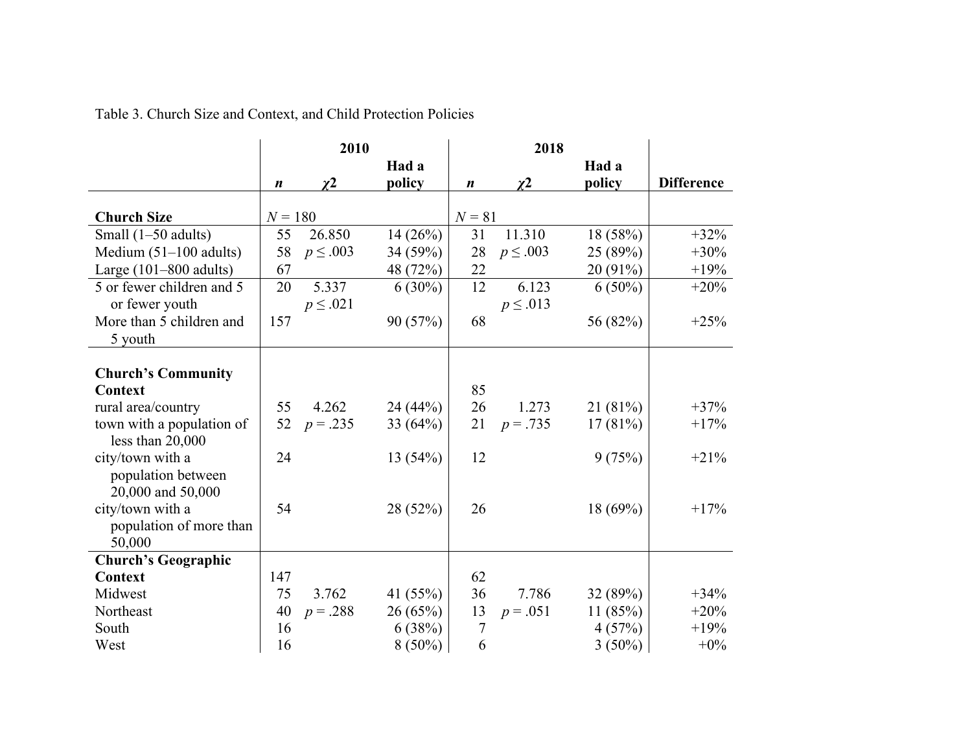|                            |                  | 2010          |            |                  | 2018          |            |                   |
|----------------------------|------------------|---------------|------------|------------------|---------------|------------|-------------------|
|                            |                  |               | Had a      |                  |               | Had a      |                   |
|                            | $\boldsymbol{n}$ | $\chi2$       | policy     | $\boldsymbol{n}$ | $\chi^2$      | policy     | <b>Difference</b> |
|                            |                  |               |            |                  |               |            |                   |
| <b>Church Size</b>         | $N = 180$        |               |            | $N = 81$         |               |            |                   |
| Small $(1-50$ adults)      | 55               | 26.850        | 14(26%)    | 31               | 11.310        | 18 (58%)   | $+32%$            |
| Medium $(51-100$ adults)   | 58               | $p \leq .003$ | 34 (59%)   | 28               | $p \leq .003$ | 25 (89%)   | $+30%$            |
| Large $(101-800$ adults)   | 67               |               | 48 (72%)   | 22               |               | 20 (91%)   | $+19%$            |
| 5 or fewer children and 5  | 20               | 5.337         | $6(30\%)$  | 12               | 6.123         | $6(50\%)$  | $+20%$            |
| or fewer youth             |                  | $p \leq .021$ |            |                  | $p \leq .013$ |            |                   |
| More than 5 children and   | 157              |               | 90 (57%)   | 68               |               | 56 (82%)   | $+25%$            |
| 5 youth                    |                  |               |            |                  |               |            |                   |
|                            |                  |               |            |                  |               |            |                   |
| <b>Church's Community</b>  |                  |               |            |                  |               |            |                   |
| Context                    |                  |               |            | 85               |               |            |                   |
| rural area/country         | 55               | 4.262         | 24(44%)    | 26               | 1.273         | 21(81%)    | $+37%$            |
| town with a population of  | 52               | $p = .235$    | 33 $(64%)$ | 21               | $p = .735$    | 17(81%)    | $+17%$            |
| less than 20,000           |                  |               |            |                  |               |            |                   |
| city/town with a           | 24               |               | 13(54%)    | 12               |               | 9(75%)     | $+21%$            |
| population between         |                  |               |            |                  |               |            |                   |
| 20,000 and 50,000          |                  |               |            |                  |               |            |                   |
| city/town with a           | 54               |               | 28 (52%)   | 26               |               | 18(69%)    | $+17%$            |
| population of more than    |                  |               |            |                  |               |            |                   |
| 50,000                     |                  |               |            |                  |               |            |                   |
| <b>Church's Geographic</b> |                  |               |            |                  |               |            |                   |
| Context                    | 147              |               |            | 62               |               |            |                   |
| Midwest                    | 75               | 3.762         | 41 $(55%)$ | 36               | 7.786         | 32(89%)    | $+34%$            |
| Northeast                  | 40               | $p = .288$    | 26(65%)    | 13               | $p = .051$    | 11 $(85%)$ | $+20%$            |
| South                      | 16               |               | 6(38%)     | $\overline{7}$   |               | 4(57%)     | $+19%$            |
| West                       | 16               |               | $8(50\%)$  | 6                |               | $3(50\%)$  | $+0\%$            |

Table 3. Church Size and Context, and Child Protection Policies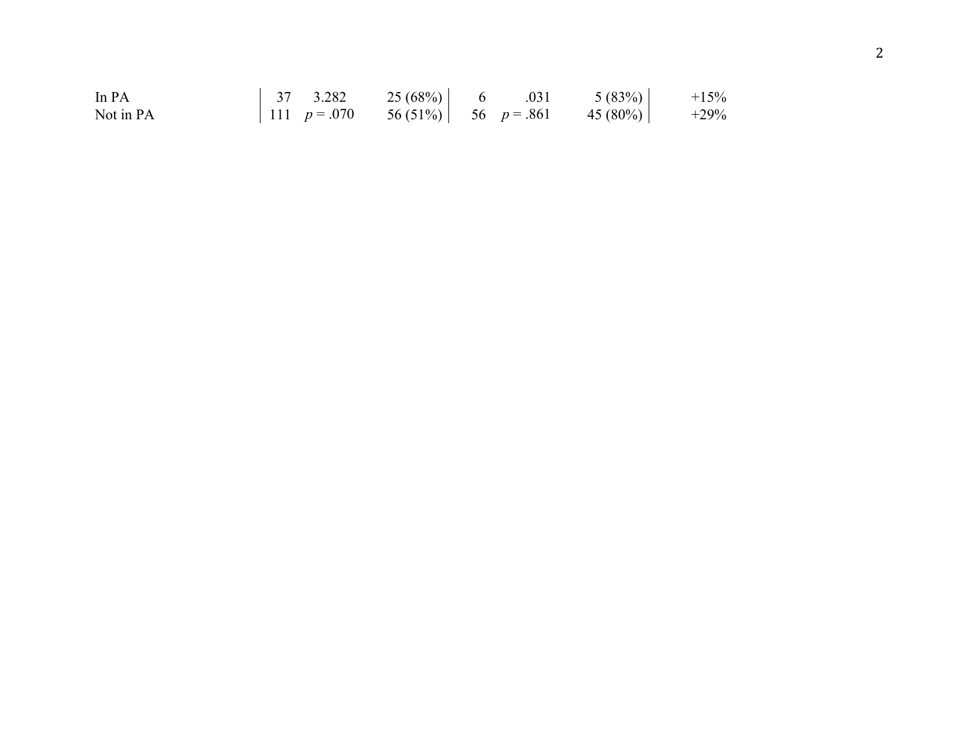| In PA     | $37 \quad 3.282$ | $25(68%)$ 6 .031 |  | 5(83%)                                           | $+15%$  |
|-----------|------------------|------------------|--|--------------------------------------------------|---------|
| Not in PA |                  |                  |  | 111 $p = .070$ 56 (51%)   56 $p = .861$ 45 (80%) | $+29\%$ |